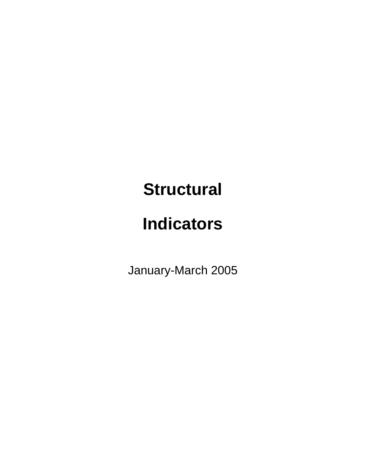## **Structural**

# **Indicators**

January-March 2005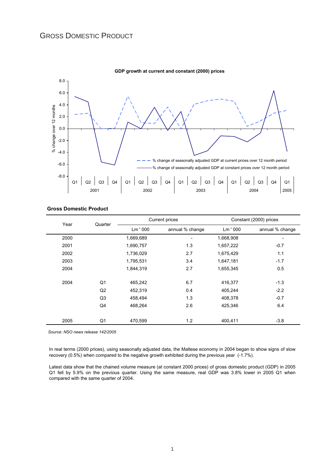

**GDP growth at current and constant (2000) prices**

|  | <b>Gross Domestic Product</b> |  |
|--|-------------------------------|--|
|--|-------------------------------|--|

| Year | Quarter        |           | Current prices  | Constant (2000) prices |                          |  |
|------|----------------|-----------|-----------------|------------------------|--------------------------|--|
|      |                | Lm ' 000  | annual % change | Lm '000                | annual % change          |  |
| 2000 |                | 1,669,689 |                 | 1,668,908              | $\overline{\phantom{a}}$ |  |
| 2001 |                | 1,690,757 | 1.3             | 1,657,222              | $-0.7$                   |  |
| 2002 |                | 1,736,029 | 2.7             | 1,675,429              | 1.1                      |  |
| 2003 |                | 1,795,531 | 3.4             | 1,647,181              | $-1.7$                   |  |
| 2004 |                | 1,844,319 | 2.7             | 1,655,345              | 0.5                      |  |
| 2004 | Q1             | 465,242   | 6.7             | 416,377                | $-1.3$                   |  |
|      | Q2             | 452,319   | 0.4             | 405,244                | $-2.2$                   |  |
|      | Q <sub>3</sub> | 458,494   | 1.3             | 408,378                | $-0.7$                   |  |
|      | Q4             | 468,264   | 2.6             | 425,346                | 6.4                      |  |
| 2005 | Q1             | 470,599   | 1.2             | 400,411                | $-3.8$                   |  |

 *Source: NSO news release 142/2005*

In real terms (2000 prices), using seasonally adjusted data, the Maltese economy in 2004 began to show signs of slow recovery (0.5%) when compared to the negative growth exhibited during the previous year (-1.7%).

Latest data show that the chained volume measure (at constant 2000 prices) of gross domestic product (GDP) in 2005 Q1 fell by 5.9% on the previous quarter. Using the same measure, real GDP was 3.8% lower in 2005 Q1 when compared with the same quarter of 2004.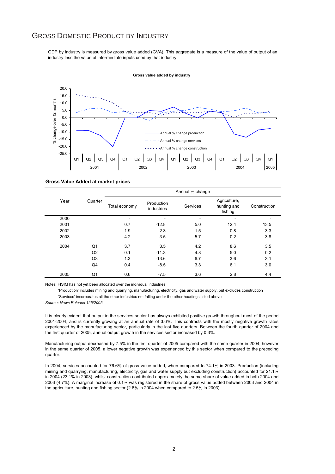## GROSS DOMESTIC PRODUCT BY INDUSTRY

GDP by industry is measured by gross value added (GVA). This aggregate is a measure of the value of output of an industry less the value of intermediate inputs used by that industry.



#### **Gross value added by industry**

#### **Gross Value Added at market prices**

|      | Quarter |               | Annual % change          |          |                                        |              |  |  |  |  |
|------|---------|---------------|--------------------------|----------|----------------------------------------|--------------|--|--|--|--|
| Year |         | Total economy | Production<br>industries | Services | Agriculture,<br>hunting and<br>fishing | Construction |  |  |  |  |
| 2000 |         |               |                          |          |                                        |              |  |  |  |  |
| 2001 |         | 0.7           | $-12.8$                  | 5.0      | 12.4                                   | 13.5         |  |  |  |  |
| 2002 |         | 1.9           | 2.3                      | 1.5      | 0.8                                    | 3.3          |  |  |  |  |
| 2003 |         | 4.2           | 3.5                      | 5.7      | $-0.2$                                 | 3.8          |  |  |  |  |
| 2004 | Q1      | 3.7           | 3.5                      | 4.2      | 8.6                                    | 3.5          |  |  |  |  |
|      | Q2      | 0.1           | $-11.3$                  | 4.8      | 5.0                                    | 0.2          |  |  |  |  |
|      | Q3      | 1.3           | $-13.6$                  | 6.7      | 3.6                                    | 3.1          |  |  |  |  |
|      | Q4      | 0.4           | $-8.5$                   | 3.3      | 6.1                                    | 3.0          |  |  |  |  |
| 2005 | Q1      | 0.6           | $-7.5$                   | 3.6      | 2.8                                    | 4.4          |  |  |  |  |

Notes: FISIM has not yet been allocated over the individual industries

 'Production' includes mining and quarrying, manufacturing, electricity, gas and water supply, but excludes construction 'Services' incorporates all the other industries not falling under the other headings listed above

*Source: News Release 125/2005*

It is clearly evident that output in the services sector has always exhibited positive growth throughout most of the period 2001-2004, and is currently growing at an annual rate of 3.6%. This contrasts with the mostly negative growth rates experienced by the manufacturing sector, particularly in the last five quarters. Between the fourth quarter of 2004 and the first quarter of 2005, annual output growth in the services sector increased by 0.3%.

Manufacturing output decreased by 7.5% in the first quarter of 2005 compared with the same quarter in 2004; however in the same quarter of 2005, a lower negative growth was experienced by this sector when compared to the preceding quarter.

In 2004, services accounted for 76.6% of gross value added, when compared to 74.1% in 2003. Production (including mining and quarrying, manufacturing, electricity, gas and water supply but excluding construction) accounted for 21.1% in 2004 (23.1% in 2003), whilst construction contributed approximately the same share of value added in both 2004 and 2003 (4.7%). A marginal increase of 0.1% was registered in the share of gross value added between 2003 and 2004 in the agriculture, hunting and fishing sector (2.6% in 2004 when compared to 2.5% in 2003).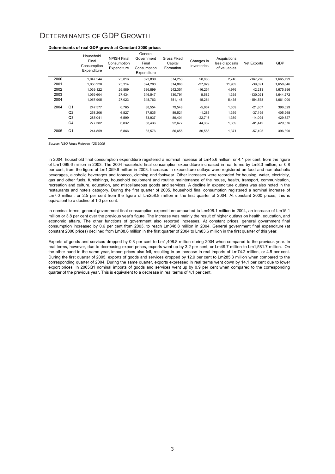## DETERMINANTS OF GDP GROWTH

|      |                | Household<br>Final<br>Consumption<br>Expenditure | <b>NPISH Final</b><br>Consumption<br>Expenditure | General<br>Government<br>Final<br>Consumption<br>Expenditure | <b>Gross Fixed</b><br>Capital<br>Formation | Changes in<br>inventories | Acquisitions<br>less disposals<br>of valuables | <b>Net Exports</b> | <b>GDP</b> |
|------|----------------|--------------------------------------------------|--------------------------------------------------|--------------------------------------------------------------|--------------------------------------------|---------------------------|------------------------------------------------|--------------------|------------|
| 2000 |                | 1,047,544                                        | 25,816                                           | 323,830                                                      | 374,253                                    | 58,886                    | 2,746                                          | $-167,276$         | 1,665,799  |
| 2001 |                | 1,050,220                                        | 25,314                                           | 324,283                                                      | 314,860                                    | $-27,929$                 | 11,989                                         | $-39,891$          | 1,658,846  |
| 2002 |                | 1,039,122                                        | 26.589                                           | 336.899                                                      | 242.351                                    | $-16.254$                 | 4.976                                          | 42.213             | 1,675,896  |
| 2003 |                | 1,059,604                                        | 27,434                                           | 346,547                                                      | 330,791                                    | 8.582                     | 1.335                                          | $-130,021$         | 1,644,272  |
| 2004 |                | 1,067,905                                        | 27,023                                           | 348,763                                                      | 351,148                                    | 15,264                    | 5,435                                          | $-154,538$         | 1,661,000  |
| 2004 | Q <sub>1</sub> | 247,577                                          | 6.765                                            | 88,554                                                       | 79.548                                     | $-5,067$                  | 1,359                                          | $-21,807$          | 396,629    |
|      | Q2             | 258,206                                          | 6,827                                            | 87,835                                                       | 89,521                                     | $-1,285$                  | 1,359                                          | $-37,195$          | 405,268    |
|      | Q <sub>3</sub> | 285.041                                          | 6,599                                            | 83,937                                                       | 89.401                                     | $-22,716$                 | 1,359                                          | $-14.094$          | 429,527    |
|      | Q <sub>4</sub> | 277.382                                          | 6,832                                            | 88.436                                                       | 92,677                                     | 44.332                    | 1.359                                          | $-81.442$          | 429.576    |
| 2005 | Q <sub>1</sub> | 244,859                                          | 6,866                                            | 83,576                                                       | 86,655                                     | 30,558                    | 1,371                                          | $-57,495$          | 396,390    |

#### **Determinants of real GDP growth at Constant 2000 prices**

*Source: NSO News Release 125/2005*

In 2004, household final consumption expenditure registered a nominal increase of Lm45.6 million, or 4.1 per cent, from the figure of Lm1,099.6 million in 2003. The 2004 household final consumption expenditure increased in real terms by Lm8.3 million, or 0.8 per cent, from the figure of Lm1,059.6 million in 2003. Increases in expenditure outlays were registered on food and non alcoholic beverages, alcoholic beverages and tobacco, clothing and footwear. Other increases were recorded for housing, water, electricity, gas and other fuels, furnishings, household equipment and routine maintenance of the house, health, transport, communication, recreation and culture, education, and miscellaneous goods and services. A decline in expenditure outlays was also noted in the restaurants and hotels category. During the first quarter of 2005, household final consumption registered a nominal increase of Lm7.0 million, or 2.5 per cent from the figure of Lm258.8 million in the first quarter of 2004. At constant 2000 prices, this is equivalent to a decline of 1.0 per cent.

In nominal terms, general government final consumption expenditure amounted to Lm408.1 million in 2004, an increase of Lm15.1 million or 3.8 per cent over the previous year's figure. The increase was mainly the result of higher outlays on health, education, and economic affairs. The other functions of government also reported increases. At constant prices, general government final consumption increased by 0.6 per cent from 2003, to reach Lm348.8 million in 2004. General government final expenditure (at constant 2000 prices) declined from Lm88.6 million in the first quarter of 2004 to Lm83.6 million in the first quarter of this year.

Exports of goods and services dropped by 0.8 per cent to Lm1,408.8 million during 2004 when compared to the previous year. In real terms, however, due to decreasing export prices, exports went up by 3.2 per cent, or Lm49.7 million to Lm1,581.7 million. On the other hand in the same year, import prices also fell, resulting in an increase in real imports of Lm74.2 million, or 4.5 per cent. During the first quarter of 2005, exports of goods and services dropped by 12.9 per cent to Lm285.3 million when compared to the corresponding quarter of 2004. During the same quarter, exports expressed in real terms went down by 14.1 per cent due to lower export prices. In 2005Q1 nominal imports of goods and services went up by 0.9 per cent when compared to the corresponding quarter of the previous year. This is equivalent to a decrease in real terms of 4.1 per cent.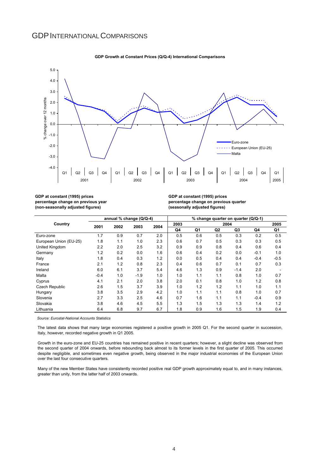## **GDP INTERNATIONAL COMPARISONS**



#### **GDP Growth at Constant Prices (Q/Q-4) International Comparisons**

**GDP at constant (1995) prices percentage change on previous year (non-seasonally adjusted figures)**

**GDP at constant (1995) prices percentage change on previous quarter (seasonally adjusted figures)**

|                        | annual % change (Q/Q-4) |      |        |      | % change quarter on quarter (Q/Q-1) |     |      |        |        |        |
|------------------------|-------------------------|------|--------|------|-------------------------------------|-----|------|--------|--------|--------|
| Country                | 2001                    | 2002 | 2003   | 2004 | 2003                                |     | 2004 |        |        | 2005   |
|                        |                         |      |        |      | Q4                                  | Q1  | Q2   | Q3     | Q4     | Q1     |
| Euro-zone              | 1.7                     | 0.9  | 0.7    | 2.0  | 0.5                                 | 0.6 | 0.5  | 0.3    | 0.2    | 0.5    |
| European Union (EU-25) | 1.8                     | 1.1  | 1.0    | 2.3  | 0.6                                 | 0.7 | 0.5  | 0.3    | 0.3    | 0.5    |
| United Kingdom         | 2.2                     | 2.0  | 2.5    | 3.2  | 0.9                                 | 0.9 | 0.8  | 0.4    | 0.6    | 0.4    |
| Germany                | 1.2                     | 0.2  | 0.0    | 1.6  | 0.6                                 | 0.4 | 0.2  | 0.0    | $-0.1$ | 1.0    |
| Italy                  | 1.8                     | 0.4  | 0.3    | 1.2  | 0.0                                 | 0.5 | 0.4  | 0.4    | $-0.4$ | $-0.5$ |
| France                 | 2.1                     | 1.2  | 0.8    | 2.3  | 0.4                                 | 0.6 | 0.7  | 0.1    | 0.7    | 0.3    |
| Ireland                | 6.0                     | 6.1  | 3.7    | 5.4  | 4.6                                 | 1.3 | 0.9  | $-1.4$ | 2.0    |        |
| Malta                  | $-0.4$                  | 1.0  | $-1.9$ | 1.0  | 1.0                                 | 1.1 | 1.1  | 0.8    | 1.0    | 0.7    |
| Cyprus                 | 4.1                     | 2.1  | 2.0    | 3.8  | 2.0                                 | 0.1 | 0.8  | 1.0    | 1.2    | 0.8    |
| <b>Czech Republic</b>  | 2.6                     | 1.5  | 3.7    | 3.9  | 1.0                                 | 1.2 | 1.2  | 1.1    | 1.0    | 1.1    |
| Hungary                | 3.8                     | 3.5  | 2.9    | 4.2  | 1.0                                 | 1.1 | 1.1  | 0.8    | 1.0    | 0.7    |
| Slovenia               | 2.7                     | 3.3  | 2.5    | 4.6  | 0.7                                 | 1.6 | 1.1  | 1.1    | $-0.4$ | 0.9    |
| Slovakia               | 3.8                     | 4.6  | 4.5    | 5.5  | 1.3                                 | 1.5 | 1.3  | 1.3    | 1.4    | 1.2    |
| Lithuania              | 6.4                     | 6.8  | 9.7    | 6.7  | 1.8                                 | 0.9 | 1.6  | 1.5    | 1.9    | 0.4    |

 *Source: Eurostat-National Accounts Statistics*

The latest data shows that many large economies registered a positive growth in 2005 Q1. For the second quarter in succession, Italy, however, recorded negative growth in Q1 2005.

Growth in the euro-zone and EU-25 countries has remained positive in recent quarters; however, a slight decline was observed from the second quarter of 2004 onwards, before rebounding back almost to its former levels in the first quarter of 2005. This occurred despite negligible, and sometimes even negative growth, being observed in the major industrial economies of the European Union over the last four consecutive quarters.

Many of the new Member States have consistently recorded positive real GDP growth approximately equal to, and in many instances, greater than unity, from the latter half of 2003 onwards.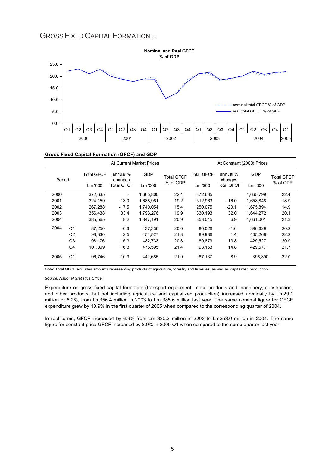## GROSSFIXED CAPITAL FORMATION ...



|  | Gross Fixed Capital Formation (GFCF) and GDP |  |
|--|----------------------------------------------|--|
|  |                                              |  |

|        |                   |         | At Current Market Prices | At Constant (2000) Prices |                     |                   |                     |            |                   |
|--------|-------------------|---------|--------------------------|---------------------------|---------------------|-------------------|---------------------|------------|-------------------|
| Period | <b>Total GFCF</b> |         | annual %<br>changes      | <b>GDP</b>                | <b>Total GFCF</b>   | <b>Total GFCF</b> | annual %<br>changes | <b>GDP</b> | <b>Total GFCF</b> |
|        |                   | Lm '000 | <b>Total GFCF</b>        | Lm '000                   | % of GDP<br>Lm '000 |                   | <b>Total GFCF</b>   | Lm '000    | % of GDP          |
| 2000   |                   | 372,635 | $\overline{\phantom{0}}$ | 1,665,800                 | 22.4                | 372,635           |                     | 1,665,799  | 22.4              |
| 2001   |                   | 324.159 | $-13.0$                  | 1.688.961                 | 19.2                | 312,963           | $-16.0$             | 1.658.848  | 18.9              |
| 2002   |                   | 267,288 | $-17.5$                  | 1,740,054                 | 15.4                | 250,075           | $-20.1$             | 1,675,894  | 14.9              |
| 2003   |                   | 356,438 | 33.4                     | 1,793,276                 | 19.9                | 330,193           | 32.0                | 1,644,272  | 20.1              |
| 2004   |                   | 385.565 | 8.2                      | 1.847.191                 | 20.9                | 353.045           | 6.9                 | 1.661.001  | 21.3              |
| 2004   | Q <sub>1</sub>    | 87,250  | $-0.6$                   | 437,336                   | 20.0                | 80,026            | $-1.6$              | 396,629    | 20.2              |
|        | Q2                | 98.330  | 2.5                      | 451.527                   | 21.8                | 89,986            | 1.4                 | 405.268    | 22.2              |
|        | Q <sub>3</sub>    | 98,176  | 15.3                     | 482,733                   | 20.3                | 89,879            | 13.8                | 429,527    | 20.9              |
|        | Q4                | 101,809 | 16.3                     | 475,595                   | 21.4                | 93,153            | 14.8                | 429,577    | 21.7              |
| 2005   | Q1                | 96,746  | 10.9                     | 441,685                   | 21.9                | 87,137            | 8.9                 | 396,390    | 22.0              |

Note: Total GFCF excludes amounts representing products of agriculture, forestry and fisheries, as well as capitalized production.

*Source: National Statistics Office*

Expenditure on gross fixed capital formation (transport equipment, metal products and machinery, construction, and other products, but not including agriculture and capitalized production) increased nominally by Lm29.1 million or 8.2%, from Lm356.4 million in 2003 to Lm 385.6 million last year. The same nominal figure for GFCF expenditure grew by 10.9% in the first quarter of 2005 when compared to the corresponding quarter of 2004.

In real terms, GFCF increased by 6.9% from Lm 330.2 million in 2003 to Lm353.0 million in 2004. The same figure for constant price GFCF increased by 8.9% in 2005 Q1 when compared to the same quarter last year.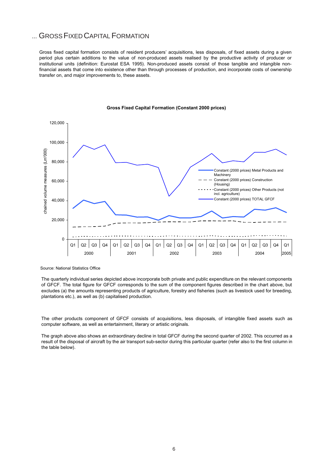## ... GROSS FIXED CAPITAL FORMATION

Gross fixed capital formation consists of resident producers' acquisitions, less disposals, of fixed assets during a given period plus certain additions to the value of non-produced assets realised by the productive activity of producer or institutional units (definition: Eurostat ESA 1995). Non-produced assets consist of those tangible and intangible nonfinancial assets that come into existence other than through processes of production, and incorporate costs of ownership transfer on, and major improvements to, these assets.



#### **Gross Fixed Capital Formation (Constant 2000 prices)**

Source: National Statistics Office

The quarterly individual series depicted above incorporate both private and public expenditure on the relevant components of GFCF. The total figure for GFCF corresponds to the sum of the component figures described in the chart above, but excludes (a) the amounts representing products of agriculture, forestry and fisheries (such as livestock used for breeding, plantations etc.), as well as (b) capitalised production.

The other products component of GFCF consists of acquisitions, less disposals, of intangible fixed assets such as computer software, as well as entertainment, literary or artistic originals.

The graph above also shows an extraordinary decline in total GFCF during the second quarter of 2002. This occurred as a result of the disposal of aircraft by the air transport sub-sector during this particular quarter (refer also to the first column in the table below).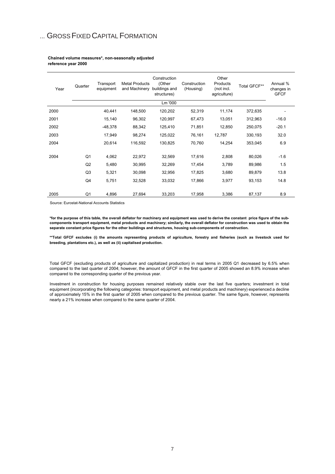## ... GROSS FIXED CAPITAL FORMATION

#### **Chained volume measures\*, non-seasonally adjusted reference year 2000**

| Year | Quarter        | Transport<br>equipment | <b>Metal Products</b><br>and Machinery | Construction<br>(Other<br>buildings and<br>structures) | Construction<br>(Housing) | Other<br>Products<br>(not incl.<br>agriculture) | Total GFCF** | Annual %<br>changes in<br><b>GFCF</b> |
|------|----------------|------------------------|----------------------------------------|--------------------------------------------------------|---------------------------|-------------------------------------------------|--------------|---------------------------------------|
|      |                |                        |                                        | Lm '000                                                |                           |                                                 |              |                                       |
| 2000 |                | 40,441                 | 148,500                                | 120,202                                                | 52,319                    | 11,174                                          | 372,635      |                                       |
| 2001 |                | 15,140                 | 96,302                                 | 120,997                                                | 67,473                    | 13,051                                          | 312,963      | $-16.0$                               |
| 2002 |                | $-48,378$              | 88,342                                 | 125,410                                                | 71,851                    | 12,850                                          | 250,075      | $-20.1$                               |
| 2003 |                | 17,949                 | 98,274                                 | 125,022                                                | 76,161                    | 12,787                                          | 330,193      | 32.0                                  |
| 2004 |                | 20,614                 | 116,592                                | 130,825                                                | 70,760                    | 14,254                                          | 353,045      | 6.9                                   |
| 2004 | Q <sub>1</sub> | 4,062                  | 22,972                                 | 32,569                                                 | 17,616                    | 2,808                                           | 80,026       | $-1.6$                                |
|      | Q2             | 5,480                  | 30,995                                 | 32,269                                                 | 17,454                    | 3,789                                           | 89,986       | 1.5                                   |
|      | Q <sub>3</sub> | 5,321                  | 30,098                                 | 32,956                                                 | 17,825                    | 3,680                                           | 89,879       | 13.8                                  |
|      | Q4             | 5,751                  | 32,528                                 | 33,032                                                 | 17,866                    | 3,977                                           | 93,153       | 14.8                                  |
| 2005 | Q1             | 4,896                  | 27,694                                 | 33,203                                                 | 17,958                    | 3,386                                           | 87,137       | 8.9                                   |

Source: Eurostat-National Accounts Statistics

**\*for the purpose of this table, the overall deflator for machinery and equipment was used to derive the constant price figure of the subcomponents transport equipment, metal products and machinery; similarly, the overall deflator for construction was used to obtain the separate constant price figures for the other buildings and structures, housing sub-components of construction.** 

**\*\*Total GFCF excludes (i) the amounts representing products of agriculture, forestry and fisheries (such as livestock used for breeding, plantations etc.), as well as (ii) capitalised production.**

Total GFCF (excluding products of agriculture and capitalized production) in real terms in 2005 Q1 decreased by 6.5% when compared to the last quarter of 2004; however, the amount of GFCF in the first quarter of 2005 showed an 8.9% increase when compared to the corresponding quarter of the previous year.

Investment in construction for housing purposes remained relatively stable over the last five quarters; investment in total equipment (incorporating the following categories: transport equipment, and metal products and machinery) experienced a decline of approximately 15% in the first quarter of 2005 when compared to the previous quarter. The same figure, however, represents nearly a 21% increase when compared to the same quarter of 2004.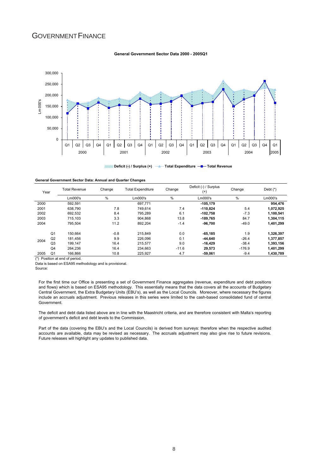## GOVERNMENT FINANCE

#### **General Government Sector Data 2000 - 2005Q1**



**Deficit (-) / Surplus (+)**  $\longrightarrow$  **Total Expenditure**  $\longrightarrow$  Total Revenue  $m m$ 

| General Government Sector Data: Annual and Quarter Changes |  |  |  |
|------------------------------------------------------------|--|--|--|
|------------------------------------------------------------|--|--|--|

| Year |                | <b>Total Revenue</b> | Change | <b>Total Expenditure</b> | Change  | Deficit (-) / Surplus<br>$^{(+)}$ | Change   | Debt $(*)$ |
|------|----------------|----------------------|--------|--------------------------|---------|-----------------------------------|----------|------------|
|      |                | $Lm000$ 's           | %      | Lm000's                  | %       | Lm000's                           | %        | Lm000's    |
| 2000 |                | 592.591              |        | 697.771                  |         | $-105.179$                        |          | 954.476    |
| 2001 |                | 638.790              | 7.8    | 749.614                  | 7.4     | $-110.824$                        | 5.4      | 1,072,925  |
| 2002 |                | 692.532              | 8.4    | 795.289                  | 6.1     | $-102.758$                        | $-7.3$   | 1.100.541  |
| 2003 |                | 715.103              | 3.3    | 904.868                  | 13.8    | -189.765                          | 84.7     | 1,304,115  |
| 2004 |                | 795.504              | 11.2   | 892.204                  | $-1.4$  | $-96.700$                         | $-49.0$  | 1,401,299  |
|      | Q <sub>1</sub> | 150.664              | $-0.8$ | 215.849                  | 0.0     | $-65.185$                         | 1.9      | 1,326,397  |
| 2004 | Q <sub>2</sub> | 181.456              | 9.9    | 226.096                  | 0.1     | $-44.640$                         | $-26.4$  | 1.377.857  |
|      | Q <sub>3</sub> | 199.147              | 16.4   | 215,577                  | 9.0     | $-16.429$                         | $-38.4$  | 1,393,156  |
|      | Q <sub>4</sub> | 264.236              | 16.4   | 234.663                  | $-11.6$ | 29.573                            | $-176.9$ | 1.401.299  |
| 2005 | Q <sub>1</sub> | 166,866              | 10.8   | 225.927                  | 4.7     | -59.061                           | $-9.4$   | 1.430.789  |

(\*) Position at end of period.

Data is based on ESA95 methodology and is provisional.

Source:

For the first time our Office is presenting a set of Government Finance aggregates (revenue, expenditure and debt positions and flows) which is based on ESA95 methodology. This essentially means that the data covers all the accounts of Budgetary Central Government, the Extra Budgetary Units (EBU's), as well as the Local Councils. Moreover, where necessary the figures include an accruals adjustment. Previous releases in this series were limited to the cash-based consolidated fund of central Government.

The deficit and debt data listed above are in line with the Maastricht criteria, and are therefore consistent with Malta's reporting of government's deficit and debt levels to the Commission.

Part of the data (covering the EBU's and the Local Councils) is derived from surveys: therefore when the respective audited accounts are available, data may be revised as necessary. The accruals adjustment may also give rise to future revisions. Future releases will highlight any updates to published data.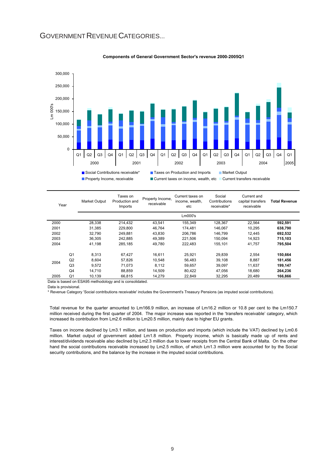## GOVERNMENT REVENUE CATEGORIES...



#### **Components of General Government Sector's revenue 2000-2005Q1**

| Year |                | <b>Market Output</b> | Taxes on<br>Production and<br>Imports | Property Income,<br>receivable | Current taxes on<br>income, wealth,<br>etc | Social<br>Contributions<br>receivable* | Current and<br>capital transfers<br>receivable | <b>Total Revenue</b> |
|------|----------------|----------------------|---------------------------------------|--------------------------------|--------------------------------------------|----------------------------------------|------------------------------------------------|----------------------|
|      |                |                      |                                       |                                | Lm000's                                    |                                        |                                                |                      |
| 2000 |                | 28,338               | 214.432                               | 43,541                         | 155,349                                    | 128,367                                | 22,564                                         | 592,591              |
| 2001 |                | 31.385               | 229.800                               | 46.764                         | 174.481                                    | 146.067                                | 10.295                                         | 638,790              |
| 2002 |                | 32.790               | 249.881                               | 43.830                         | 206.786                                    | 146.799                                | 12.445                                         | 692,532              |
| 2003 |                | 36,305               | 242.885                               | 49,389                         | 221.506                                    | 150.094                                | 14,923                                         | 715,103              |
| 2004 |                | 41.198               | 285.185                               | 49.780                         | 222.483                                    | 155.101                                | 41.757                                         | 795.504              |
|      | Q <sub>1</sub> | 8.313                | 67.427                                | 16.611                         | 25,921                                     | 29,839                                 | 2,554                                          | 150,664              |
| 2004 | Q2             | 8,604                | 57.826                                | 10.548                         | 56.483                                     | 39,108                                 | 8,887                                          | 181,456              |
|      | Q <sub>3</sub> | 9.572                | 71.073                                | 8,112                          | 59.657                                     | 39,097                                 | 11.637                                         | 199,147              |
|      | Q <sub>4</sub> | 14.710               | 88.859                                | 14.509                         | 80.422                                     | 47.056                                 | 18.680                                         | 264,236              |
| 2005 | Q <sub>1</sub> | 10,139               | 66.815                                | 14.279                         | 22.849                                     | 32.295                                 | 20.489                                         | 166,866              |

Data is based on ESA95 methodology and is consolidated.

Data is provisional.

\* Revenue Category 'Social contributions receivable' includes the Government's Treasury Pensions (as imputed social contributions).

Total revenue for the quarter amounted to Lm166.9 million, an increase of Lm16.2 million or 10.8 per cent to the Lm150.7 million received during the first quarter of 2004. The major increase was reported in the 'transfers receivable' category, which increased its contribution from Lm2.6 million to Lm20.5 million, mainly due to higher EU grants.

Taxes on income declined by Lm3.1 million, and taxes on production and imports (which include the VAT) declined by Lm0.6 million. Market output of government added Lm1.8 million. Property income, which is basically made up of rents and interest/dividends receivable also declined by Lm2.3 million due to lower receipts from the Central Bank of Malta. On the other hand the social contributions receivable increased by Lm2.5 million, of which Lm1.3 million were accounted for by the Social security contributions, and the balance by the increase in the imputed social contributions.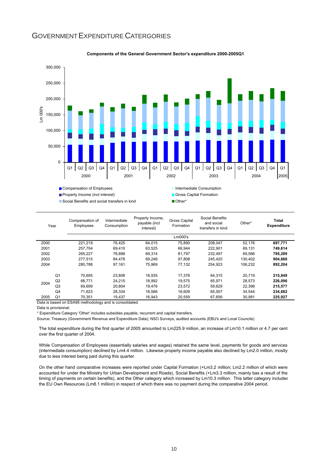

## GOVERNMENT EXPENDITURE CATERGORIES

|      |                | Compensation of Employees                    |                             |                                                | memetrie Consumption              |                                                    |         |                             |  |
|------|----------------|----------------------------------------------|-----------------------------|------------------------------------------------|-----------------------------------|----------------------------------------------------|---------|-----------------------------|--|
|      |                | <b>Property Income (incl interest)</b>       |                             |                                                | Gross Capital Formation           |                                                    |         |                             |  |
|      |                | Social Benefits and social transfers in kind |                             |                                                | Other*                            |                                                    |         |                             |  |
|      |                |                                              |                             |                                                |                                   |                                                    |         |                             |  |
|      | Year           | Compensation of<br><b>Employees</b>          | Intermediate<br>Consumption | Property Income,<br>payable (incl<br>interest) | <b>Gross Capital</b><br>Formation | Social Benefits<br>and social<br>transfers in kind | Other*  | Total<br><b>Expenditure</b> |  |
|      |                |                                              |                             |                                                | Lm000's                           |                                                    |         |                             |  |
| 2000 |                | 221,219                                      | 76,425                      | 64,015                                         | 75,890                            | 208,047                                            | 52,176  | 697,771                     |  |
| 2001 |                | 257,704                                      | 69,410                      | 63,525                                         | 66,944                            | 222,901                                            | 69,131  | 749,614                     |  |
| 2002 |                | 265,227                                      | 76,888                      | 69,314                                         | 81,797                            | 232,497                                            | 69,566  | 795,289                     |  |
| 2003 |                | 277,515                                      | 84,478                      | 69,246                                         | 97,808                            | 245,420                                            | 130,402 | 904,868                     |  |
| 2004 |                | 280,788                                      | 97,161                      | 75,969                                         | 77,132                            | 254,923                                            | 106,232 | 892,204                     |  |
|      | Q <sub>1</sub> | 70,695                                       | 23,808                      | 18,935                                         | 17,376                            | 64,315                                             | 20,719  | 215,849                     |  |
| 2004 | Q2             | 68,771                                       | 24.215                      | 18.992                                         | 19,575                            | 65.971                                             | 28,573  | 226,096                     |  |
|      | Q <sub>3</sub> | 69,699                                       | 20,804                      | 19,476                                         | 23,572                            | 59,629                                             | 22,396  | 215,577                     |  |
|      | Q4             | 71,623                                       | 28,334                      | 18,566                                         | 16,609                            | 65,007                                             | 34,544  | 234,682                     |  |
| 2005 | Q <sub>1</sub> | 70,351                                       | 19,437                      | 16,943                                         | 20,559                            | 67,656                                             | 30,981  | 225,927                     |  |

#### **Components of the General Government Sector's expenditure 2000-2005Q1**

Data is based on ESA95 methodology and is consolidated.

Data is provisional.

\* Expenditure Category 'Other' includes subsidies payable, recurrent and capital transfers.

Source: Treasury (Government Revenue and Expenditure Data); NSO Surveys, audited accounts (EBU's and Local Councils)

The total expenditure during the first quarter of 2005 amounted to Lm225.9 million, an increase of Lm10.1 million or 4.7 per cent over the first quarter of 2004.

While Compensation of Employees (essentially salaries and wages) retained the same level, payments for goods and services (intermediate consumption) declined by Lm4.4 million. Likewise property income payable also declined by Lm2.0 million, mostly due to less interest being paid during this quarter.

On the other hand comparative increases were reported under Capital Formation (+Lm3.2 million; Lm2.2 million of which were accounted for under the Ministry for Urban Development and Roads), Social Benefits (+Lm3.3 million, mainly bas a result of the timing of payments on certain benefits), and the Other category which increased by Lm10.3 million. This latter category includes the EU Own Resources (Lm8.1 million) in respect of which there was no payment during the comparative 2004 period.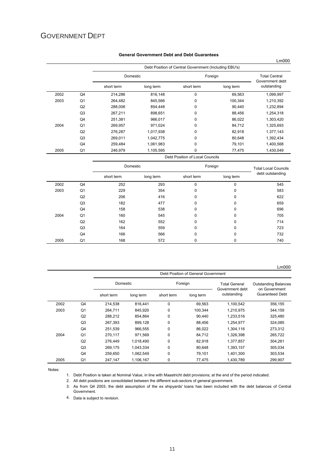## GOVERNMENT DEPT

|      |                |            |           | Debt Position of Central Government (Including EBU's) |           |                                |  |
|------|----------------|------------|-----------|-------------------------------------------------------|-----------|--------------------------------|--|
|      |                | Domestic   |           |                                                       | Foreign   |                                |  |
|      |                | short term | long term | short term                                            | long term | Government debt<br>outstanding |  |
| 2002 | Q <sub>4</sub> | 214,286    | 816,148   | 0                                                     | 69.563    | 1,099,997                      |  |
| 2003 | Q1             | 264,482    | 845,566   | 0                                                     | 100,344   | 1,210,392                      |  |
|      | Q2             | 288,006    | 854,448   | 0                                                     | 90.440    | 1,232,894                      |  |
|      | Q <sub>3</sub> | 267,211    | 898,651   | 0                                                     | 88,456    | 1,254,318                      |  |
|      | Q4             | 251,381    | 966,017   | 0                                                     | 86,022    | 1,303,420                      |  |
| 2004 | Q1             | 269,957    | 971,024   | 0                                                     | 84,712    | 1,325,693                      |  |
|      | Q2             | 276,287    | 1,017,938 | 0                                                     | 82,918    | 1,377,143                      |  |
|      | Q <sub>3</sub> | 269,011    | 1,042,775 | 0                                                     | 80,648    | 1,392,434                      |  |
|      | Q4             | 259,484    | 1,061,983 | 0                                                     | 79,101    | 1,400,568                      |  |
| 2005 | Q <sub>1</sub> | 246,979    | 1,105,595 | 0                                                     | 77,475    | 1,430,049                      |  |
|      |                |            |           | Debt Position of Local Councils                       |           |                                |  |

#### **General Government Debt and Debt Guarantees**

|      |                | Domestic   |           | Foreign     | <b>Total Local Councils</b> |                  |
|------|----------------|------------|-----------|-------------|-----------------------------|------------------|
|      |                | short term | long term | short term  | long term                   | debt outstanding |
| 2002 | Q <sub>4</sub> | 252        | 293       | $\Omega$    | $\Omega$                    | 545              |
| 2003 | Q1             | 229        | 354       | $\mathbf 0$ | 0                           | 583              |
|      | Q2             | 206        | 416       | 0           | 0                           | 622              |
|      | Q3             | 182        | 477       | $\Omega$    | $\Omega$                    | 659              |
|      | Q4             | 158        | 538       | $\Omega$    | 0                           | 696              |
| 2004 | Q <sub>1</sub> | 160        | 545       | $\Omega$    | $\Omega$                    | 705              |
|      | Q2             | 162        | 552       | $\Omega$    | 0                           | 714              |
|      | Q3             | 164        | 559       | $\Omega$    | $\Omega$                    | 723              |
|      | Q4             | 166        | 566       | $\Omega$    | $\Omega$                    | 732              |
| 2005 | Q1             | 168        | 572       | 0           | 0                           | 740              |

| Lm000 |
|-------|
|-------|

|      |    |            |           |             | Debt Position of General Government |                                         |                                                                        |
|------|----|------------|-----------|-------------|-------------------------------------|-----------------------------------------|------------------------------------------------------------------------|
|      |    | Domestic   |           |             | Foreign                             | <b>Total General</b><br>Government debt | <b>Outstanding Balances</b><br>on Government<br><b>Guaranteed Debt</b> |
|      |    | short term | long term | short term  | long term                           | outstanding                             |                                                                        |
| 2002 | Q4 | 214,538    | 816,441   | $\Omega$    | 69,563                              | 1,100,542                               | 356,155                                                                |
| 2003 | Q1 | 264,711    | 845.920   | 0           | 100.344                             | 1,210,975                               | 344,159                                                                |
|      | Q2 | 288.212    | 854.864   | 0           | 90.440                              | 1,233,516                               | 325.480                                                                |
|      | Q3 | 267.393    | 899.128   | 0           | 88,456                              | 1,254,977                               | 324.085                                                                |
|      | Q4 | 251,539    | 966.555   | 0           | 86,022                              | 1,304,116                               | 273,312                                                                |
| 2004 | Q1 | 270.117    | 971.569   | 0           | 84,712                              | 1,326,398                               | 265,722                                                                |
|      | Q2 | 276,449    | 1,018,490 | 0           | 82,918                              | 1,377,857                               | 304,261                                                                |
|      | Q3 | 269,175    | 1,043,334 | 0           | 80,648                              | 1,393,157                               | 305,034                                                                |
|      | Q4 | 259,650    | 1,062,549 | $\mathbf 0$ | 79,101                              | 1,401,300                               | 303,534                                                                |
| 2005 | Q1 | 247.147    | 1.106.167 | 0           | 77,475                              | 1.430.789                               | 299.907                                                                |

Notes:

1. Debt Position is taken at Nominal Value, in line with Maastricht debt provisions; at the end of the period indicated.

2. All debt positions are consolidated between the different sub-sectors of general government.

3. As from Q4 2003, the debt assumption of the ex shipyards' loans has been included with the debt balances of Central Government.

4. Data is subject to revision.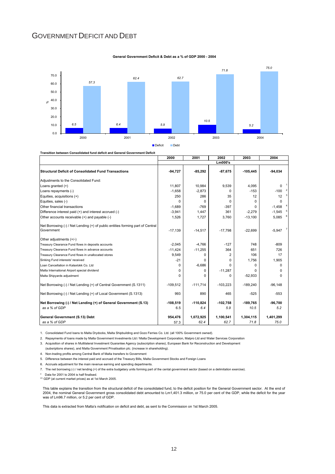## GOVERNMENT DEFICIT AND DEBT



**General Government Deficit & Debt as a % of GDP 2000 - 2004**

**Transition between Consolidated fund deficit and General Government Deficit**

|                                                                                              | 2000       | 2001       | 2002         | 2003       | 2004                       |
|----------------------------------------------------------------------------------------------|------------|------------|--------------|------------|----------------------------|
|                                                                                              |            |            | Lm000's      |            |                            |
| Structural Deficit of Consolidated Fund Transactions                                         | $-94,727$  | $-85,292$  | $-87.675$    | $-105,445$ | $-94,034$                  |
| Adjustments to the Consolidated Fund:                                                        |            |            |              |            |                            |
| Loans granted $(+)$                                                                          | 11,807     | 10,984     | 9,539        | 4,095      | 0                          |
| Loans repayments (-)                                                                         | $-1.658$   | $-2.873$   | $\Omega$     | $-153$     | $-100$                     |
| Equities, acquisitions (+)                                                                   | 250        | 286        | 35           | 12         | $\mathbf{3}$<br>12         |
| Equities, sales (-)                                                                          | $\Omega$   | $\Omega$   | $\Omega$     | $\Omega$   | 0                          |
| Other financial transactions                                                                 | $-1,689$   | $-769$     | $-397$       | O          | $-1,458$                   |
| Difference interest paid (+) and interest accrued (-)                                        | $-3,941$   | 1,447      | 361          | $-2.279$   | 5 <sub>5</sub><br>$-1,545$ |
| Other accounts receivable (+) and payable (-)                                                | 1,526      | 1,727      | 3,760        | $-13,100$  | 6<br>5,085                 |
| Net Borrowing (-) / Net Lending (+) of public entities forming part of Central<br>Government | $-17,139$  | $-14,517$  | $-17,798$    | $-22,699$  | 7<br>$-5,947$              |
| Other adjustments (+/-)                                                                      |            |            |              |            |                            |
| Treasury Clearance Fund flows in deposits accounts                                           | $-2.045$   | $-4.766$   | $-127$       | 748        | $-809$                     |
| Treasury Clearance Fund flows in advance accounts                                            | $-11,424$  | $-11,255$  | 364          | 651        | 726                        |
| Treasury Clearance Fund flows in unallocated stores                                          | 9,549      | 0          | 2            | 106        | 17                         |
| Sinking Fund interests' received                                                             | $-21$      | O          | 0            | 1,756      | 1,905                      |
| Loan Cancellation in Kalaxlokk Co. Ltd.                                                      | $\Omega$   | $-6,686$   | <sup>n</sup> | $\Omega$   | $\Omega$                   |
| Malta International Airport special dividend                                                 | 0          | $\Omega$   | $-11,287$    | O          | $\Omega$                   |
| Malta Shipyards adjustment                                                                   | $\Omega$   | O          | 0            | $-52,933$  | $\Omega$                   |
| Net Borrowing (-) / Net Lending (+) of Central Government (S.1311)                           | $-109,512$ | $-111,714$ | $-103.223$   | $-189.240$ | $-96.148$                  |
| Net Borrowing (-) / Net Lending (+) of Local Government (S.1313)                             | 993        | 890        | 465          | $-525$     | $-553$                     |
| Net Borrowing (-) / Net Lending (+) of General Government (S.13)                             | $-108,519$ | $-110,824$ | $-102,758$   | $-189,765$ | $-96,700$                  |
| as a % of GDP                                                                                | 6.5        | 6.4        | 5.9          | 10.5       | 5.2                        |
| General Government (S.13) Debt                                                               | 954.476    | 1.072.925  | 1,100,541    | 1,304,115  | 1,401,299                  |
| as a % of GDP                                                                                | 57.3       | 62.4       | 62.7         | 71.8       | 75.0                       |

1. Consolidated Fund loans to Malta Drydocks, Malta Shipbuilding and Gozo Ferries Co. Ltd. (all 100% Government owned).

2. Repayments of loans made by Malta Government Investments Ltd / Malta Development Corporation, Malpro Ltd and Water Services Corporation

3. Acquisition of shares in Multilateral Investment Guarantee Agency (subscription shares), European Bank for Reconstruction and Development

(subsriptions shares), and Malta Government Privatisation plc. (increase in shareholding).

4. Non-trading profits among Central Bank of Malta transfers to Government

5. Difference between the interest paid and accrued of the Treasury Bills, Malta Government Stocks and Foreign Loans

6. Accruals adjustment for the main revenue earning and spending departments.

7. The net borrowing (-) / net lending (+) of the extra budgetary units forming part of the cental government sector (based on a delimitation exercise).

\* Data for 2001 to 2004 is half finalised.

\*\* GDP (at current market prices) as at 1st March 2005.

This table explains the transition from the structural deficit of the consolidated fund, to the deficit position for the General Government sector. At the end of 2004, the nominal General Government gross consolidated debt amounted to Lm1,401.3 million, or 75.0 per cent of the GDP, while the deficit for the year was of Lm96.7 million, or 5.2 per cent of GDP.

This data is extracted from Malta's notification on deficit and debt, as sent to the Commission on 1st March 2005.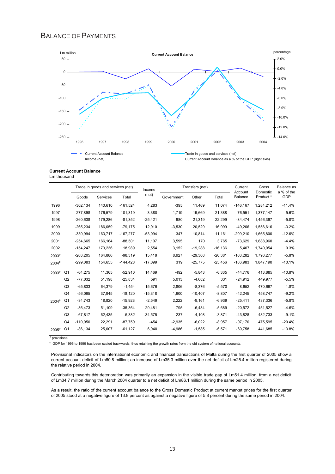## BALANCE OF PAYMENTS



#### **Current Account Balance** Lm thousand

|                   | Trade in goods and services (net) |            | Income   |            | Transfers (net) |            | Current<br>Account | Gross<br>Domestic | Balance as<br>a % of the |           |          |
|-------------------|-----------------------------------|------------|----------|------------|-----------------|------------|--------------------|-------------------|--------------------------|-----------|----------|
|                   |                                   | Goods      | Services | Total      | (net)           | Government | Other              | Total             | <b>Balance</b>           | Product*  | GDP      |
| 1996              |                                   | $-302.134$ | 140.610  | $-161,524$ | 4.283           | $-395$     | 11,469             | 11.074            | $-146.167$               | 1,284,212 | $-11.4%$ |
| 1997              |                                   | $-277.898$ | 176.579  | $-101,319$ | 3,380           | 1.719      | 19,669             | 21.388            | $-76,551$                | 1,377,147 | $-5.6%$  |
| 1998              |                                   | $-260,638$ | 179,286  | $-81,352$  | $-25,421$       | 980        | 21,319             | 22,299            | $-84,474$                | 1,456,367 | $-5.8%$  |
| 1999              |                                   | $-265,234$ | 186,059  | $-79,175$  | 12,910          | $-3,530$   | 20,529             | 16,999            | $-49,266$                | 1,556,616 | $-3.2%$  |
| 2000              |                                   | $-330,994$ | 163,717  | $-167,277$ | $-53,094$       | 347        | 10,814             | 11,161            | $-209,210$               | 1,665,800 | $-12.6%$ |
| 2001              |                                   | $-254.665$ | 166.164  | $-88.501$  | 11,107          | 3,595      | 170                | 3.765             | $-73.629$                | 1.688.960 | $-4.4%$  |
| 2002              |                                   | $-154,247$ | 173,236  | 18,989     | 2,554           | 3,152      | $-19,288$          | $-16, 136$        | 5,407                    | 1,740,054 | 0.3%     |
| 2003 <sup>p</sup> |                                   | $-263,205$ | 164,886  | $-98,319$  | 15,418          | 8,927      | $-29,308$          | $-20,381$         | $-103,282$               | 1,793,277 | $-5.8%$  |
| 2004 <sup>p</sup> |                                   | $-299,083$ | 154,655  | $-144,428$ | $-17,099$       | 319        | $-25,775$          | $-25,456$         | $-186,983$               | 1,847,190 | $-10.1%$ |
| 2003 <sup>p</sup> | Q1                                | $-64,275$  | 11,365   | $-52,910$  | 14,469          | $-492$     | $-5,843$           | $-6,335$          | $-44,776$                | 413,885   | $-10.8%$ |
|                   | Q <sub>2</sub>                    | $-77,032$  | 51,198   | $-25,834$  | 591             | 5,013      | $-4,682$           | 331               | $-24,912$                | 449,977   | $-5.5%$  |
|                   | Q3                                | $-65,833$  | 64,379   | $-1,454$   | 15,676          | 2,806      | $-8,376$           | $-5,570$          | 8,652                    | 470,667   | 1.8%     |
|                   | Q4                                | $-56.065$  | 37,945   | $-18.120$  | $-15.318$       | 1.600      | $-10,407$          | $-8.807$          | $-42,245$                | 458.747   | $-9.2%$  |
| 2004 <sup>p</sup> | Q1                                | $-34,743$  | 18,820   | $-15,923$  | $-2,549$        | 2,222      | $-9,161$           | $-6,939$          | $-25,411$                | 437,336   | $-5.8%$  |
|                   | Q2                                | $-86,473$  | 51,109   | $-35,364$  | 20,481          | 795        | $-6,484$           | $-5,689$          | $-20,572$                | 451,527   | $-4.6%$  |
|                   | Q3                                | $-67,817$  | 62,435   | $-5,382$   | $-34,575$       | 237        | $-4,108$           | $-3,871$          | $-43,828$                | 482,733   | $-9.1%$  |
|                   | Q4                                | $-110,050$ | 22,291   | $-87,759$  | $-454$          | $-2,935$   | $-6,022$           | $-8.957$          | $-97,170$                | 475,595   | $-20.4%$ |
| $2005^{\circ}$    | Q <sub>1</sub>                    | $-86,134$  | 25,007   | $-61,127$  | 6,940           | -4,986     | $-1,585$           | $-6,571$          | $-60,758$                | 441,685   | $-13.8%$ |

<sup>p</sup> provisional

\* GDP for 1996 to 1999 has been scaled backwards; thus retaining the growth rates from the old system of national accounts.

Provisional indicators on the international economic and financial transactions of Malta during the first quarter of 2005 show a current account deficit of Lm60.8 million; an increase of Lm35.3 million over the net deficit of Lm25.4 million registered during the relative period in 2004.

Contributing towards this deterioration was primarily an expansion in the visible trade gap of Lm51.4 million, from a net deficit of Lm34.7 million during the March 2004 quarter to a net deficit of Lm86.1 million during the same period in 2005.

As a result, the ratio of the current account balance to the Gross Domestic Product at current market prices for the first quarter of 2005 stood at a negative figure of 13.8 percent as against a negative figure of 5.8 percent during the same period in 2004.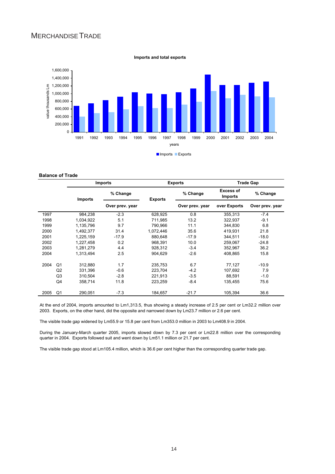## MERCHANDISETRADE



#### **Imports and total exports**

#### **Balance of Trade**

|      |                | <b>Imports</b> |                 |                | <b>Exports</b>  | <b>Trade Gap</b>                   |                 |  |
|------|----------------|----------------|-----------------|----------------|-----------------|------------------------------------|-----------------|--|
|      |                | <b>Imports</b> | % Change        | <b>Exports</b> | % Change        | <b>Excess of</b><br><b>Imports</b> | % Change        |  |
|      |                |                | Over prev. year |                | Over prev. year | over Exports                       | Over prev. year |  |
| 1997 |                | 984,238        | $-2.3$          | 628,925        | 0.8             | 355,313                            | $-7.4$          |  |
| 1998 |                | 1,034,922      | 5.1             | 711.985        | 13.2            | 322,937                            | $-9.1$          |  |
| 1999 |                | 1,135,796      | 9.7             | 790,966        | 11.1            | 344,830                            | 6.8             |  |
| 2000 |                | 1,492,377      | 31.4            | 1,072,446      | 35.6            | 419,931                            | 21.8            |  |
| 2001 |                | 1,225,159      | $-17.9$         | 880.648        | $-17.9$         | 344.511                            | $-18.0$         |  |
| 2002 |                | 1,227,458      | 0.2             | 968,391        | 10.0            | 259,067                            | $-24.8$         |  |
| 2003 |                | 1,281,279      | 4.4             | 928,312        | $-3.4$          | 352,967                            | 36.2            |  |
| 2004 |                | 1,313,494      | 2.5             | 904,629        | $-2.6$          | 408,865                            | 15.8            |  |
| 2004 | Q <sub>1</sub> | 312,880        | 1.7             | 235,753        | 6.7             | 77,127                             | $-10.9$         |  |
|      | Q2             | 331,396        | $-0.6$          | 223,704        | $-4.2$          | 107,692                            | 7.9             |  |
|      | Q <sub>3</sub> | 310,504        | $-2.8$          | 221,913        | $-3.5$          | 88,591                             | $-1.0$          |  |
|      | Q4             | 358,714        | 11.8            | 223,259        | $-8.4$          | 135.455                            | 75.6            |  |
| 2005 | Q1             | 290,051        | $-7.3$          | 184,657        | $-21.7$         | 105,394                            | 36.6            |  |

At the end of 2004, imports amounted to Lm1,313.5, thus showing a steady increase of 2.5 per cent or Lm32.2 million over 2003. Exports, on the other hand, did the opposite and narrowed down by Lm23.7 million or 2.6 per cent.

The visible trade gap widened by Lm55.9 or 15.8 per cent from Lm353.0 million in 2003 to Lm408.9 in 2004.

During the January-March quarter 2005, imports slowed down by 7.3 per cent or Lm22.8 million over the corresponding quarter in 2004. Exports followed suit and went down by Lm51.1 million or 21.7 per cent.

The visible trade gap stood at Lm105.4 million, which is 36.6 per cent higher than the corresponding quarter trade gap.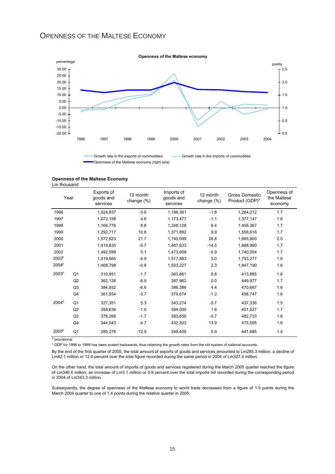## OPENNESS OF THE MALTESE ECONOMY



Openness of the Maltese economy (right axis)

| <b>Openness of the Maltese Economy</b> |  |  |
|----------------------------------------|--|--|
|                                        |  |  |

Lm thousand

| Year              |                | Exports of<br>goods and<br>services | 12 month<br>change $(\%)$ | Imports of<br>goods and<br>services | 12 month<br>change (%) | Gross Domestic<br>Product (GDP)* | Openness of<br>the Maltese<br>economy |
|-------------------|----------------|-------------------------------------|---------------------------|-------------------------------------|------------------------|----------------------------------|---------------------------------------|
| 1996              |                | 1,024,837                           | $-3.0$                    | 1,186,361                           | $-1.8$                 | 1,284,212                        | 1.7                                   |
| 1997              |                | 1,072,158                           | 4.6                       | 1,173,477                           | $-1.1$                 | 1,377,147                        | 1.6                                   |
| 1998              |                | 1,166,776                           | 8.8                       | 1,248,128                           | 6.4                    | 1,456,367                        | 1.7                                   |
| 1999              |                | 1,292,717                           | 10.8                      | 1,371,892                           | 9.9                    | 1,556,616                        | 1.7                                   |
| 2000              |                | 1,572,823                           | 21.7                      | 1,740,099                           | 26.8                   | 1,665,800                        | 2.0                                   |
| 2001              |                | 1,419,830                           | $-9.7$                    | 1,487,633                           | $-14.5$                | 1,688,960                        | 1.7                                   |
| 2002              |                | 1,492,598                           | 5.1                       | 1,473,608                           | $-0.9$                 | 1,740,054                        | 1.7                                   |
| 2003 <sup>p</sup> |                | 1,419,565                           | $-4.9$                    | 1,517,883                           | 3.0                    | 1,793,277                        | 1.6                                   |
| 2004 <sup>p</sup> |                | 1.408.798                           | $-0.8$                    | 1,553,227                           | 2.3                    | 1.847.190                        | 1.6                                   |
| 2003 <sup>p</sup> | Q <sub>1</sub> | 310,951                             | $-1.7$                    | 363,861                             | 9.8                    | 413,885                          | 1.6                                   |
|                   | Q2             | 362,128                             | $-6.9$                    | 387,962                             | 0.0                    | 449.977                          | 1.7                                   |
|                   | Q3             | 384,932                             | $-6.6$                    | 386,386                             | 4.4                    | 470,667                          | 1.6                                   |
|                   | Q4             | 361,554                             | $-3.7$                    | 379,674                             | $-1.2$                 | 458,747                          | 1.6                                   |
| 2004 <sup>p</sup> | Q <sub>1</sub> | 327,351                             | 5.3                       | 343,274                             | $-5.7$                 | 437,336                          | 1.5                                   |
|                   | Q2             | 358.636                             | $-1.0$                    | 394.000                             | 1.6                    | 451.527                          | 1.7                                   |
|                   | Q3             | 378,268                             | $-1.7$                    | 383,650                             | $-0.7$                 | 482,733                          | 1.6                                   |
|                   | Q4             | 344,543                             | $-4.7$                    | 432,303                             | 13.9                   | 475,595                          | 1.6                                   |
| $2005^{\circ}$    | Q1             | 285,278                             | $-12.9$                   | 346,405                             | 0.9                    | 441,685                          | 1.4                                   |

<sup>p</sup> provisional

\* GDP for 1996 to 1999 has been scaled backwards; thus retaining the growth rates from the old system of national accounts.

By the end of the first quarter of 2005, the total amount of exports of goods and services amounted to Lm285.3 million; a decline of Lm42.1 million or 12.9 percent over the total figure recorded during the same period in 2004 of Lm327.4 million.

On the other hand, the total amount of imports of goods and services registered during the March 2005 quarter reached the figure of Lm346.4 million; an increase of Lm3.1 million or 0.9 percent over the total imports bill recorded during the corresponding period in 2004 of Lm343.3 million.

Subsequently, the degree of openness of the Maltese economy to world trade decreased from a figure of 1.5 points during the March 2004 quarter to one of 1.4 points during the relative quarter in 2005.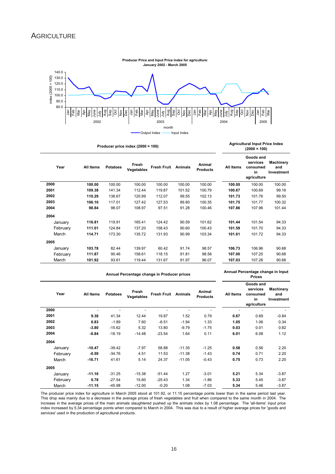

**Producer price index (2000 = 100)**

|      | Year     | All Items | <b>Potatoes</b> | Fresh<br><b>Vegetables</b> | <b>Fresh Fruit</b> | <b>Animals</b> | Animal<br><b>Products</b> | All Items | Goods and<br>services<br>consumed<br>in<br>agriculture | <b>Machinery</b><br>and<br>Investment |
|------|----------|-----------|-----------------|----------------------------|--------------------|----------------|---------------------------|-----------|--------------------------------------------------------|---------------------------------------|
| 2000 |          | 100.00    | 100.00          | 100.00                     | 100.00             | 100.00         | 100.00                    | 100.00    | 100.00                                                 | 100.00                                |
| 2001 |          | 109.38    | 141.34          | 112.44                     | 119.87             | 101.52         | 100.79                    | 100.67    | 100.69                                                 | 99.16                                 |
| 2002 |          | 110.29    | 138.67          | 120.99                     | 112.07             | 99.55          | 102.13                    | 101.73    | 101.76                                                 | 99.50                                 |
| 2003 |          | 106.10    | 117.01          | 127.42                     | 127.53             | 89.80          | 100.35                    | 101.75    | 101.77                                                 | 100.32                                |
| 2004 |          | 98.84     | 98.07           | 108.97                     | 97.51              | 91.28          | 100.46                    | 107.86    | 107.96                                                 | 101.44                                |
| 2004 |          |           |                 |                            |                    |                |                           |           |                                                        |                                       |
|      | January  | 116.81    | 119.91          | 165.41                     | 124.42             | 90.59          | 101.62                    | 101.44    | 101.54                                                 | 94.33                                 |
|      | February | 111.01    | 124.84          | 137.20                     | 158.43             | 90.60          | 100.43                    | 101.59    | 101.70                                                 | 94.33                                 |
|      | March    | 114.71    | 173.30          | 135.72                     | 131.93             | 90.99          | 103.34                    | 101.61    | 101.72                                                 | 94.33                                 |
| 2005 |          |           |                 |                            |                    |                |                           |           |                                                        |                                       |
|      | January  | 103.78    | 82.44           | 139.97                     | 60.42              | 91.74          | 98.57                     | 106.73    | 106.96                                                 | 90.68                                 |
|      | February | 111.87    | 90.46           | 158.61                     | 118.15             | 91.81          | 98.56                     | 107.00    | 107.25                                                 | 90.68                                 |
|      | March    | 101.92    | 93.61           | 119.44                     | 131.67             | 91.97          | 96.07                     | 107.03    | 107.28                                                 | 90.68                                 |

**Agricultural Input Price Index (2000 = 100)**

|          |           | Annual Percentage change in Producer prices | Annual Percentage change in Input<br><b>Prices</b> |                    |                |                           |           |                                                        |                                       |
|----------|-----------|---------------------------------------------|----------------------------------------------------|--------------------|----------------|---------------------------|-----------|--------------------------------------------------------|---------------------------------------|
| Year     | All Items | <b>Potatoes</b>                             | Fresh<br>Vegetables                                | <b>Fresh Fruit</b> | <b>Animals</b> | Animal<br><b>Products</b> | All Items | Goods and<br>services<br>consumed<br>in<br>agriculture | <b>Machinery</b><br>and<br>Investment |
| 2000     |           |                                             |                                                    |                    | ٠              |                           |           | $\blacksquare$                                         |                                       |
| 2001     | 9.38      | 41.34                                       | 12.44                                              | 19.87              | 1.52           | 0.79                      | 0.67      | 0.69                                                   | $-0.84$                               |
| 2002     | 0.83      | $-1.89$                                     | 7.60                                               | $-6.51$            | $-1.94$        | 1.33                      | 1.05      | 1.06                                                   | 0.34                                  |
| 2003     | $-3.80$   | $-15.62$                                    | 5.32                                               | 13.80              | $-9.79$        | $-1.75$                   | 0.03      | 0.01                                                   | 0.82                                  |
| 2004     | $-6.84$   | $-16.19$                                    | $-14.48$                                           | $-23.54$           | 1.64           | 0.11                      | 6.01      | 6.08                                                   | 1.12                                  |
| 2004     |           |                                             |                                                    |                    |                |                           |           |                                                        |                                       |
| January  | $-10.47$  | $-39.42$                                    | $-7.97$                                            | 58.88              | $-11.35$       | $-1.25$                   | 0.58      | 0.56                                                   | 2.20                                  |
| February | $-0.59$   | $-34.76$                                    | 4.51                                               | 11.53              | $-11.38$       | $-1.43$                   | 0.74      | 0.71                                                   | 2.20                                  |
| March    | $-16.71$  | 41.61                                       | 5.14                                               | 24.37              | $-11.05$       | $-0.43$                   | 0.75      | 0.73                                                   | 2.20                                  |
| 2005     |           |                                             |                                                    |                    |                |                           |           |                                                        |                                       |
| January  | $-11.16$  | $-31.25$                                    | $-15.38$                                           | $-51.44$           | 1.27           | $-3.01$                   | 5.21      | 5.34                                                   | $-3.87$                               |
| February | 0.78      | $-27.54$                                    | 15.60                                              | $-25.43$           | 1.34           | $-1.86$                   | 5.33      | 5.45                                                   | $-3.87$                               |
| March    | $-11.15$  | $-45.98$                                    | $-12.00$                                           | $-0.20$            | 1.08           | $-7.03$                   | 5.34      | 5.46                                                   | $-3.87$                               |

The producer price index for agriculture in March 2005 stood at 101.92, or 11.15 percentage points lower than in the same period last year. This drop was mainly due to a decrease in the average prices of fresh vegetables and fruit when compared to the same month in 2004. The increase in the average prices of the main animals slaughtered pushed up the animals index by 1.08 percentage. The 'all-items' input price index increased by 5.34 percentage points when compared to March in 2004. This was due to a result of higher average prices for 'goods and services' used in the production of agricultural products.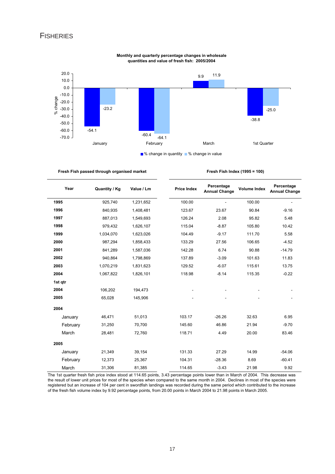## **FISHERIES**



#### **Monthly and quarterly percentage changes in wholesale quantities and value of fresh fish: 2005/2004**

**Fresh Fish passed through organised market**

| Fresh Fish Index (1995 = 100) |  |  |
|-------------------------------|--|--|
|-------------------------------|--|--|

| Year     | <b>Quantity / Kg</b> | Value / Lm | <b>Price Index</b> | Percentage<br><b>Annual Change</b> | <b>Volume Index</b> | Percentage<br><b>Annual Change</b> |
|----------|----------------------|------------|--------------------|------------------------------------|---------------------|------------------------------------|
| 1995     | 925,740              | 1,231,652  | 100.00             |                                    | 100.00              |                                    |
| 1996     | 840,935              | 1,408,481  | 123.67             | 23.67                              | 90.84               | $-9.16$                            |
| 1997     | 887,013              | 1,549,693  | 126.24             | 2.08                               | 95.82               | 5.48                               |
| 1998     | 979,432              | 1,626,107  | 115.04             | $-8.87$                            | 105.80              | 10.42                              |
| 1999     | 1,034,070            | 1,623,026  | 104.49             | $-9.17$                            | 111.70              | 5.58                               |
| 2000     | 987,294              | 1,858,433  | 133.29             | 27.56                              | 106.65              | $-4.52$                            |
| 2001     | 841,289              | 1,587,036  | 142.28             | 6.74                               | 90.88               | $-14.79$                           |
| 2002     | 940,864              | 1,798,869  | 137.89             | $-3.09$                            | 101.63              | 11.83                              |
| 2003     | 1,070,219            | 1,831,623  | 129.52             | $-6.07$                            | 115.61              | 13.75                              |
| 2004     | 1,067,822            | 1,826,101  | 118.98             | $-8.14$                            | 115.35              | $-0.22$                            |
| 1st qtr  |                      |            |                    |                                    |                     |                                    |
| 2004     | 106,202              | 194,473    |                    |                                    |                     |                                    |
| 2005     | 65,028               | 145,906    |                    |                                    |                     |                                    |
| 2004     |                      |            |                    |                                    |                     |                                    |
| January  | 46,471               | 51,013     | 103.17             | $-26.26$                           | 32.63               | 6.95                               |
| February | 31,250               | 70,700     | 145.60             | 46.86                              | 21.94               | $-9.70$                            |
| March    | 28,481               | 72,760     | 118.71             | 4.49                               | 20.00               | 83.46                              |
| 2005     |                      |            |                    |                                    |                     |                                    |
| January  | 21,349               | 39,154     | 131.33             | 27.29                              | 14.99               | $-54.06$                           |
| February | 12,373               | 25,367     | 104.31             | $-28.36$                           | 8.69                | $-60.41$                           |
| March    | 31,306               | 81,385     | 114.65             | $-3.43$                            | 21.98               | 9.92                               |

The 1st quarter fresh fish price index stood at 114.65 points, 3.43 percentage points lower than in March of 2004. This decrease was the result of lower unit prices for most of the species when compared to the same month in 2004. Declines in most of the species were registered but an increase of 104 per cent in swordfish landings was recorded during the same period which contributed to the increase of the fresh fish volume index by 9.92 percentage points, from 20.00 points in March 2004 to 21.98 points in March 2005.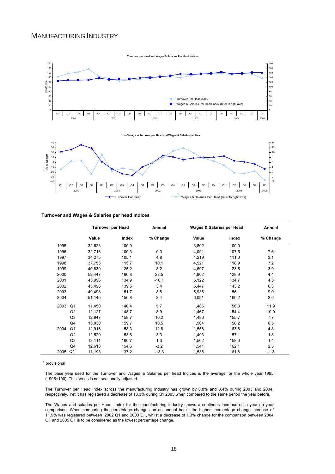## MANUFACTURING INDUSTRY



#### **Turnover and Wages & Salaries per head Indices**

|      |                 |        | <b>Turnover per Head</b> | Annual   |       | Wages & Salaries per Head | Annual   |
|------|-----------------|--------|--------------------------|----------|-------|---------------------------|----------|
|      |                 | Value  | Index                    | % Change | Value | Index                     | % Change |
| 1995 |                 | 32,623 | 100.0                    |          | 3,802 | 100.0                     |          |
| 1996 |                 | 32,716 | 100.3                    | 0.3      | 4,091 | 107.6                     | 7.6      |
| 1997 |                 | 34,275 | 105.1                    | 4.8      | 4,219 | 111.0                     | 3.1      |
| 1998 |                 | 37,753 | 115.7                    | 10.1     | 4,521 | 118.9                     | 7.2      |
| 1999 |                 | 40,830 | 125.2                    | 8.2      | 4,697 | 123.5                     | 3.9      |
| 2000 |                 | 52,447 | 160.8                    | 28.5     | 4,902 | 128.9                     | 4.4      |
| 2001 |                 | 43,996 | 134.9                    | $-16.1$  | 5,122 | 134.7                     | 4.5      |
| 2002 |                 | 45,496 | 139.5                    | 3.4      | 5,447 | 143.2                     | 6.3      |
| 2003 |                 | 49,498 | 151.7                    | 8.8      | 5,936 | 156.1                     | 9.0      |
| 2004 |                 | 51,145 | 156.8                    | 3.4      | 6,091 | 160.2                     | 2.6      |
| 2003 | Q <sub>1</sub>  | 11,450 | 140.4                    | 5.7      | 1,486 | 156.3                     | 11.9     |
|      | Q2              | 12,127 | 148.7                    | 8.9      | 1,467 | 154.4                     | 10.0     |
|      | Q3              | 12,947 | 158.7                    | 10.2     | 1,480 | 155.7                     | 7.7      |
|      | Q4              | 13,030 | 159.7                    | 10.5     | 1,504 | 158.2                     | 6.5      |
| 2004 | Q <sub>1</sub>  | 12,916 | 158.3                    | 12.8     | 1,558 | 163.8                     | 4.8      |
|      | Q2              | 12,529 | 153.6                    | 3.3      | 1,493 | 157.1                     | 1.8      |
|      | Q3              | 13,111 | 160.7                    | 1.3      | 1,502 | 158.0                     | 1.4      |
|      | Q4              | 12,613 | 154.6                    | $-3.2$   | 1,541 | 162.1                     | 2.5      |
| 2005 | Q1 <sup>p</sup> | 11,193 | 137.2                    | $-13.3$  | 1,538 | 161.8                     | $-1.3$   |

**p** provisional

The base year used for the Turnover and Wages & Salaries per head Indices is the average for the whole year 1995 (1995=100). This series is not seasonally adjusted.

The Turnover per Head Index across the manufacturing industry has grown by 8.8% and 3.4% during 2003 and 2004, respectively. Yet it has registered a decrease of 13.3% during Q1 2005 when compared to the same period the year before.

The Wages and salaries per Head Index for the manufacturing industry shows a continous increase on a year on year comparison. When comparing the percentage changes on an annual basis, the highest percentage change increase of 11.9% was registered between 2002 Q1 and 2003 Q1, whilst a decrease of 1.3% change for the comparison between 2004 Q1 and 2005 Q1 is to be considered as the lowest percentage change.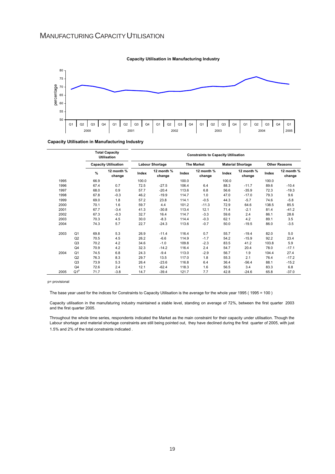

#### **Capacity Utilisation in Manufacturing Industry**

**Capacity Utilisation in Manufacturing Industry**

|      |                 |      | <b>Total Capacity</b><br><b>Utilisation</b> |       |                        | <b>Constraints to Capacity Utilisation</b> |                      |                          |                      |                      |                      |
|------|-----------------|------|---------------------------------------------|-------|------------------------|--------------------------------------------|----------------------|--------------------------|----------------------|----------------------|----------------------|
|      |                 |      | <b>Capacity Utilisation</b>                 |       | <b>Labour Shortage</b> |                                            | <b>The Market</b>    | <b>Material Shortage</b> |                      | <b>Other Reasons</b> |                      |
|      |                 | $\%$ | 12 month %<br>change                        | Index | 12 month %<br>change   | Index                                      | 12 month %<br>change | Index                    | 12 month %<br>change | Index                | 12 month %<br>change |
| 1995 |                 | 66.9 |                                             | 100.0 |                        | 100.0                                      |                      | 100.0                    |                      | 100.0                |                      |
| 1996 |                 | 67.4 | 0.7                                         | 72.5  | $-27.5$                | 106.4                                      | 6.4                  | 88.3                     | $-11.7$              | 89.6                 | $-10.4$              |
| 1997 |                 | 68.0 | 0.9                                         | 57.7  | $-20.4$                | 113.6                                      | 6.8                  | 56.6                     | $-35.9$              | 72.3                 | $-19.3$              |
| 1998 |                 | 67.8 | $-0.3$                                      | 46.2  | $-19.9$                | 114.7                                      | 1.0                  | 47.0                     | $-17.0$              | 79.3                 | 9.6                  |
| 1999 |                 | 69.0 | 1.8                                         | 57.2  | 23.8                   | 114.1                                      | $-0.5$               | 44.3                     | $-5.7$               | 74.6                 | $-5.8$               |
| 2000 |                 | 70.1 | 1.6                                         | 59.7  | 4.4                    | 101.2                                      | $-11.3$              | 72.9                     | 64.6                 | 138.5                | 85.5                 |
| 2001 |                 | 67.7 | $-3.4$                                      | 41.3  | $-30.8$                | 113.4                                      | 12.1                 | 71.4                     | $-2.1$               | 81.4                 | $-41.2$              |
| 2002 |                 | 67.3 | $-0.3$                                      | 32.7  | 16.4                   | 114.7                                      | $-3.3$               | 59.6                     | 2.4                  | 86.1                 | 28.6                 |
| 2003 |                 | 70.3 | 4.5                                         | 30.0  | $-8.3$                 | 114.4                                      | $-0.3$               | 62.1                     | 4.2                  | 89.1                 | 3.5                  |
| 2004 |                 | 74.3 | 5.7                                         | 22.7  | $-24.3$                | 113.6                                      | $-0.7$               | 50.0                     | $-19.5$              | 86.0                 | $-3.5$               |
| 2003 | Q <sub>1</sub>  | 69.8 | 5.3                                         | 26.9  | $-11.4$                | 116.4                                      | 0.7                  | 55.7                     | $-19.4$              | 82.0                 | 5.0                  |
|      | Q2              | 70.5 | 4.5                                         | 26.2  | $-6.6$                 | 114.9                                      | $-1.7$               | 54.2                     | $-15.9$              | 92.2                 | 23.4                 |
|      | Q3              | 70.2 | 4.2                                         | 34.6  | $-1.0$                 | 109.8                                      | $-2.3$               | 83.5                     | 41.2                 | 103.8                | 5.9                  |
|      | Q4              | 70.9 | 4.2                                         | 32.3  | $-14.2$                | 116.4                                      | 2.4                  | 54.7                     | 20.4                 | 78.0                 | $-17.1$              |
| 2004 | Q <sub>1</sub>  | 74.5 | 6.8                                         | 24.3  | $-9.4$                 | 113.0                                      | $-2.9$               | 56.7                     | 1.9                  | 104.4                | 27.4                 |
|      | Q2              | 76.3 | 8.3                                         | 29.7  | 13.5                   | 117.0                                      | 1.8                  | 55.3                     | 2.1                  | 76.4                 | $-17.2$              |
|      | Q <sub>3</sub>  | 73.9 | 5.3                                         | 26.4  | $-23.6$                | 116.8                                      | 6.4                  | 36.4                     | $-56.4$              | 88.1                 | $-15.2$              |
|      | Q4              | 72.6 | 2.4                                         | 12.1  | $-62.4$                | 118.3                                      | 1.6                  | 56.5                     | 3.4                  | 83.3                 | 6.8                  |
| 2005 | Q1 <sup>p</sup> | 71.7 | $-3.8$                                      | 14.7  | $-39.4$                | 121.7                                      | 7.7                  | 42.8                     | $-24.6$              | 65.8                 | $-37.0$              |

p= provisional

The base year used for the indices for Constraints to Capacity Utilisation is the average for the whole year 1995 ( 1995 = 100 )

Capacity utilisation in the manufaturing industry maintained a stable level, standing on average of 72%, between the first quarter 2003 and the first quarter 2005.

Throughout the whole time series, respondents indicated the Market as the main constraint for their capacity under utilisation. Though the Labour shortage and material shortage constraints are still being pointed out, they have declined during the first quarter of 2005, with just 1.5% and 2% of the total constraints indicated .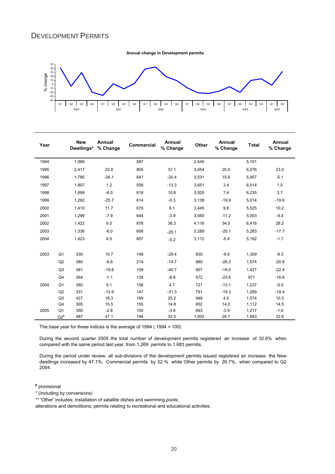## DEVELOPMENT PERMITS

**Annual change in Development permits**



| Year |                | <b>New</b><br>Dwellings* | Annual<br>% Change | <b>Commercial</b> | Annual<br>% Change | <b>Other</b> | Annual<br>% Change | <b>Total</b> | Annual<br>% Change |
|------|----------------|--------------------------|--------------------|-------------------|--------------------|--------------|--------------------|--------------|--------------------|
| 1994 |                | 1,969                    |                    | 587               |                    | 2,545        |                    | 5,101        |                    |
| 1995 |                | 2,417                    | 22.8               | 805               | 37.1               | 3,054        | 20.0               | 6,276        | 23.0               |
| 1996 |                | 1.785                    | $-26.1$            | 641               | $-20.4$            | 3,531        | 15.6               | 5,957        | $-5.1$             |
| 1997 |                | 1,807                    | 1.2                | 556               | $-13.3$            | 3,651        | 3.4                | 6,014        | 1.0                |
| 1998 |                | 1,699                    | $-6.0$             | 616               | 10.8               | 3,920        | 7.4                | 6,235        | 3.7                |
| 1999 |                | 1,262                    | $-25.7$            | 614               | $-0.3$             | 3,138        | $-19.9$            | 5,014        | $-19.6$            |
| 2000 |                | 1,410                    | 11.7               | 670               | 9.1                | 3,445        | 9.8                | 5,525        | 10.2               |
| 2001 |                | 1,299                    | $-7.9$             | 644               | $-3.9$             | 3,060        | $-11.2$            | 5,003        | $-9.4$             |
| 2002 |                | 1,422                    | 9.5                | 878               | 36.3               | 4,116        | 34.5               | 6,416        | 28.2               |
| 2003 |                | 1,336                    | $-6.0$             | 658               | $-25.1$            | 3,289        | $-20.1$            | 5,283        | $-17.7$            |
| 2004 |                | 1,423                    | 6.5                | 657               | $-0.2$             | 3,112        | $-5.4$             | 5,192        | $-1.7$             |
| 2003 | Q <sub>1</sub> | 330                      | 10.7               | 149               | $-29.4$            | 830          | $-9.6$             | 1,309        | $-8.3$             |
|      | Q2             | 380                      | $-6.6$             | 214               | $-14.7$            | 980          | $-26.3$            | 1.574        | $-20.8$            |
|      | Q <sub>3</sub> | 361                      | $-19.8$            | 159               | $-40.7$            | 907          | $-19.0$            | 1,427        | $-22.4$            |
|      | Q4             | 264                      | $-1.1$             | 135               | $-8.8$             | 572          | $-23.6$            | 971          | $-16.6$            |
| 2004 | Q <sub>1</sub> | 360                      | 9.1                | 156               | 4.7                | 721          | $-13.1$            | 1.237        | $-5.5$             |
|      | Q2             | 331                      | $-12.9$            | 147               | $-31.3$            | 791          | $-19.3$            | 1,269        | $-19.4$            |
|      | Q <sub>3</sub> | 427                      | 18.3               | 199               | 25.2               | 948          | 4.5                | 1,574        | 10.3               |
|      | Q4             | 305                      | 15.5               | 155               | 14.8               | 652          | 14.0               | 1,112        | 14.5               |
| 2005 | Q <sub>1</sub> | 350                      | $-2.8$             | 150               | $-3.8$             | 693          | $-3.9$             | 1,217        | $-1.6$             |
|      | $Q2^p$         | 487                      | 47.1               | 194               | 32.0               | 1,002        | 26.7               | 1,683        | 32.6               |

The base year for these indices is the average of 1994 ( 1994 = 100)

During the second quarter 2005 the total number of development permits registered an increase of 32.6% when compared with the same period last year, from 1,269 permits to 1,683 permits.

During the period under review, all sub-divisions of the development permits issued registered an increase. the New dwellings increased by 47.1%, Commercial permits by 32 % while Other permits by 26.7%, when compared to Q2 2004.

**p** provisional

\* (including by conversions)

\*\* 'Other' includes; installation of satallite dishes and swimming pools;

alterations and demolitions; permits relating to recreational and educational activities.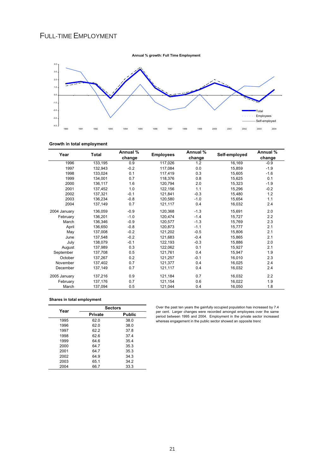## FULL-TIME EMPLOYMENT



#### **Growth in total employment**

| Year         | Total   | Annual % | <b>Employees</b> | Annual % | Self-employed | Annual % |
|--------------|---------|----------|------------------|----------|---------------|----------|
|              |         | change   |                  | change   |               | change   |
| 1996         | 133,195 | 0.9      | 117,026          | 1.2      | 16,169        | $-0.9$   |
| 1997         | 132.943 | $-0.2$   | 117.084          | 0.0      | 15,859        | $-1.9$   |
| 1998         | 133.024 | 0.1      | 117.419          | 0.3      | 15,605        | $-1.6$   |
| 1999         | 134.001 | 0.7      | 118.376          | 0.8      | 15.625        | 0.1      |
| 2000         | 136,117 | 1.6      | 120,794          | 2.0      | 15,323        | $-1.9$   |
| 2001         | 137,452 | 1.0      | 122,156          | 1.1      | 15,296        | $-0.2$   |
| 2002         | 137.321 | $-0.1$   | 121.841          | $-0.3$   | 15,480        | 1.2      |
| 2003         | 136.234 | $-0.8$   | 120.580          | $-1.0$   | 15,654        | 1.1      |
| 2004         | 137.149 | 0.7      | 121,117          | 0.4      | 16,032        | 2.4      |
| 2004 January | 136.059 | $-0.9$   | 120.368          | $-1.3$   | 15,691        | 2.0      |
| February     | 136,201 | $-1.0$   | 120,474          | $-1.4$   | 15,727        | 2.2      |
| March        | 136,346 | $-0.9$   | 120.577          | $-1.3$   | 15,769        | 2.3      |
| April        | 136,650 | $-0.8$   | 120.873          | $-1.1$   | 15,777        | 2.1      |
| May          | 137.008 | $-0.2$   | 121,202          | $-0.5$   | 15.806        | 2.1      |
| June         | 137.548 | $-0.2$   | 121.683          | $-0.4$   | 15,865        | 2.1      |
| July         | 138.079 | $-0.1$   | 122,193          | $-0.3$   | 15,886        | 2.0      |
| August       | 137.989 | 0.3      | 122.062          | 0.1      | 15.927        | 2.1      |
| September    | 137.708 | 0.5      | 121.761          | 0.4      | 15,947        | 1.9      |
| October      | 137.267 | 0.2      | 121.257          | $-0.1$   | 16,010        | 2.3      |
| November     | 137,402 | 0.7      | 121,377          | 0.4      | 16,025        | 2.4      |
| December     | 137,149 | 0.7      | 121,117          | 0.4      | 16,032        | 2.4      |
| 2005 January | 137,216 | 0.9      | 121,184          | 0.7      | 16,032        | 2.2      |
| February     | 137,176 | 0.7      | 121,154          | 0.6      | 16,022        | 1.9      |
| March        | 137,094 | 0.5      | 121,044          | 0.4      | 16,050        | 1.8      |

### **Shares in total employment**

| Year | <b>Sectors</b> |        |  |  |  |  |
|------|----------------|--------|--|--|--|--|
|      | <b>Private</b> | Public |  |  |  |  |
| 1995 | 62.0           | 38.0   |  |  |  |  |
| 1996 | 62.0           | 38.0   |  |  |  |  |
| 1997 | 62.2           | 37.8   |  |  |  |  |
| 1998 | 62 G           | 37.4   |  |  |  |  |
| 1999 | 64.6           | 35.4   |  |  |  |  |
| 2000 | 64.7           | 35.3   |  |  |  |  |
| 2001 | 64.7           | 35.3   |  |  |  |  |
| 2002 | 64.9           | 34.3   |  |  |  |  |
| 2003 | 65.1           | 34.2   |  |  |  |  |
| 2004 | 66.7           | 33.3   |  |  |  |  |

Over the past ten years the gainfully occupied population has increased by 7.4 per cent. Larger changes were recorded amongst employees over the same period between 1995 and 2004. Employment in the private sector increased whereas engagement in the public sector showed an opposite trend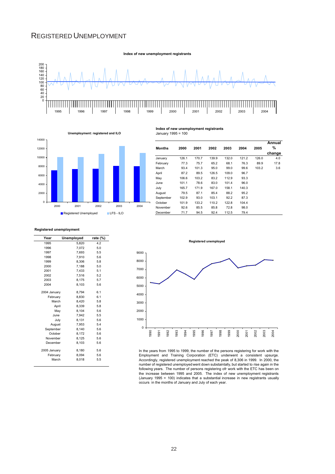## REGISTERED UNEMPLOYMENT





## January 1995 = 100 **Unemployment: registered and ILO**

#### **Months 2000 2001 2002 2003 2004 2005 Annual % change** January 126.1 170.7 139.9 132.0 121.2 126.0 4.0 February 77.3 75.7 65.2 68.1 76.3 89.9 17.8 March 93.4 101.3 95.0 99.0 99.6 103.2 3.6 April 87.2 89.5 126.5 109.0 96.7 May 106.6 103.2 83.2 112.9 93.3 June 101.1 78.6 83.0 101.4 96.0 July 165.7 171.9 167.0 158.1 140.3 August 79.5 87.1 85.4 88.2 95.2<br>September 102.9 93.0 103.1 92.2 87.3 September 102.9 93.0 103.1 92.2 87.3<br>October 101.9 133.2 110.2 122.8 104.4 October November 92.6 85.5 85.8 72.8 98.0<br>December 71.7 94.5 92.4 11.2.5 79.4 December 71.7 94.5 92.4 112.5 79.4

**Index of new unemployment registrants**

#### **Registered unemployment**

| Year         | Unemployed | rate (%) |
|--------------|------------|----------|
| 1995         | 5.820      | 4.2      |
| 1996         | 7.072      | 5.0      |
| 1997         | 7.693      | 5.5      |
| 1998         | 7.910      | 5.6      |
| 1999         | 8.306      | 5.8      |
| 2000         | 7,188      | 5.0      |
| 2001         | 7.433      | 5.1      |
| 2002         | 7.516      | 5.2      |
| 2003         | 8.175      | 5.7      |
| 2004         | 8.103      | 5.6      |
| 2004 January | 8.794      | 6.1      |
| February     | 8.830      | 6.1      |
| March        | 8,420      | 5.8      |
| April        | 8.339      | 5.8      |
| Mav          | 8.104      | 5.6      |
| June         | 7.942      | 5.5      |
| July         | 8.131      | 5.6      |
| August       | 7,953      | 5.4      |
| September    | 8.140      | 5.6      |
| October      | 8.172      | 5.6      |
| November     | 8,125      | 5.6      |
| December     | 8.103      | 5.6      |
| 2005 January | 8,180      | 5.6      |
| February     | 8.094      | 5.6      |
| March        | 8.018      | 5.5      |



In the years from 1995 to 1999, the number of the persons registering for work with the Employment and Training Corporation (ETC) underwent a consistent upsurge. Accordingly, registered unemployment reached the peak of 8,306 in 1999. In 2000, the number of registered unemployed went down substaintally, but started to rise again in the following years. The number of persons registering ofr work with the ETC has been on the increase between 1995 and 2005. The index of new unemployment registrants (January 1995 = 100) indicates that a substantial increase in new registrants usually occurs in the months of January and July of each year.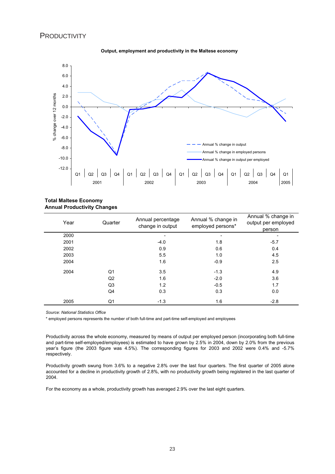## **PRODUCTIVITY**



#### **Output, employment and productivity in the Maltese economy**

#### **Total Maltese Economy Annual Productivity Changes**

| Year | Quarter        | Annual percentage<br>change in output | Annual % change in<br>employed persons* | Annual % change in<br>output per employed<br>person |
|------|----------------|---------------------------------------|-----------------------------------------|-----------------------------------------------------|
| 2000 |                |                                       |                                         |                                                     |
| 2001 |                | $-4.0$                                | 1.8                                     | $-5.7$                                              |
| 2002 |                | 0.9                                   | 0.6                                     | 0.4                                                 |
| 2003 |                | 5.5                                   | 1.0                                     | 4.5                                                 |
| 2004 |                | 1.6                                   | $-0.9$                                  | 2.5                                                 |
| 2004 | Q1             | 3.5                                   | $-1.3$                                  | 4.9                                                 |
|      | Q <sub>2</sub> | 1.6                                   | $-2.0$                                  | 3.6                                                 |
|      | Q <sub>3</sub> | 1.2                                   | $-0.5$                                  | 1.7                                                 |
|      | Q4             | 0.3                                   | 0.3                                     | 0.0                                                 |
| 2005 | Q1             | $-1.3$                                | 1.6                                     | $-2.8$                                              |

 *Source: National Statistics Office*

\* employed persons represents the number of both full-time and part-time self-employed and employees

Productivity across the whole economy, measured by means of output per employed person (incorporating both full-time and part-time self-employed/employees) is estimated to have grown by 2.5% in 2004, down by 2.0% from the previous year's figure (the 2003 figure was 4.5%). The corresponding figures for 2003 and 2002 were 0.4% and -5.7% respectively.

Productivity growth swung from 3.6% to a negative 2.8% over the last four quarters. The first quarter of 2005 alone accounted for a decline in productivity growth of 2.8%, with no productivity growth being registered in the last quarter of 2004.

For the economy as a whole, productivity growth has averaged 2.9% over the last eight quarters.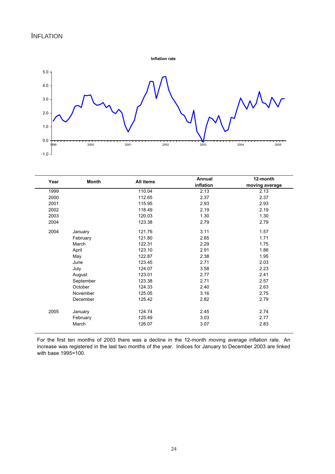

| Year | <b>Month</b> | All items | Annual    | 12-month       |
|------|--------------|-----------|-----------|----------------|
|      |              |           | inflation | moving average |
| 1999 |              | 110.04    | 2.13      | 2.13           |
| 2000 |              | 112.65    | 2.37      | 2.37           |
| 2001 |              | 115.95    | 2.93      | 2.93           |
| 2002 |              | 118.49    | 2.19      | 2.19           |
| 2003 |              | 120.03    | 1.30      | 1.30           |
| 2004 |              | 123.38    | 2.79      | 2.79           |
| 2004 | January      | 121.76    | 3.11      | 1.57           |
|      | February     | 121.80    | 2.65      | 1.71           |
|      | March        | 122.31    | 2.29      | 1.75           |
|      | April        | 123.10    | 2.91      | 1.86           |
|      | May          | 122.87    | 2.38      | 1.95           |
|      | June         | 123.45    | 2.71      | 2.03           |
|      | July         | 124.07    | 3.58      | 2.23           |
|      | August       | 123.01    | 2.77      | 2.41           |
|      | September    | 123.38    | 2.71      | 2.57           |
|      | October      | 124.33    | 2.40      | 2.63           |
|      | November     | 125.05    | 3.16      | 2.75           |
|      | December     | 125.42    | 2.82      | 2.79           |
| 2005 | January      | 124.74    | 2.45      | 2.74           |
|      | February     | 125.49    | 3.03      | 2.77           |
|      | March        | 126.07    | 3.07      | 2.83           |
|      |              |           |           |                |

For the first ten months of 2003 there was a decline in the 12-month moving average inflation rate. An increase was registered in the last two months of the year. Indices for January to December 2003 are linked with base 1995=100.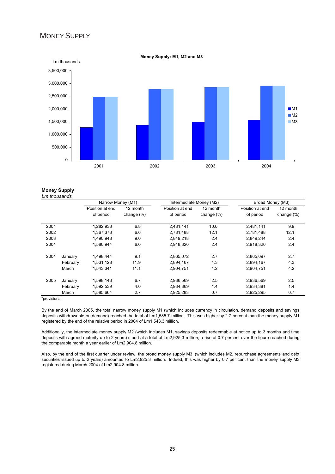## MONEY SUPPLY



**Money Supply: M1, M2 and M3**

**Money Supply** *Lm thousands*

|      |          | Narrow Money (M1) |               | Intermediate Money (M2) |               | Broad Money (M3) |               |
|------|----------|-------------------|---------------|-------------------------|---------------|------------------|---------------|
|      |          | Position at end   | 12 month      | Position at end         | 12 month      | Position at end  | 12 month      |
|      |          | of period         | change $(\%)$ | of period               | change $(\%)$ | of period        | change $(\%)$ |
| 2001 |          | 1,282,933         | 6.8           | 2,481,141               | 10.0          | 2,481,141        | 9.9           |
| 2002 |          | 1,367,373         | 6.6           | 2.781.488               | 12.1          | 2,781,488        | 12.1          |
| 2003 |          | 1.490.948         | 9.0           | 2.849.218               | 2.4           | 2,849,244        | 2.4           |
| 2004 |          | 1.580.944         | 6.0           | 2.918.320               | 2.4           | 2,918,320        | 2.4           |
| 2004 | January  | 1,498,444         | 9.1           | 2,865,072               | 2.7           | 2,865,097        | 2.7           |
|      | February | 1,531,128         | 11.9          | 2.894.167               | 4.3           | 2,894,167        | 4.3           |
|      | March    | 1.543.341         | 11.1          | 2.904.751               | 4.2           | 2.904.751        | 4.2           |
| 2005 | January  | 1,598,143         | 6.7           | 2,936,569               | 2.5           | 2,936,569        | 2.5           |
|      | February | 1,592,539         | 4.0           | 2,934,369               | 1.4           | 2,934,381        | 1.4           |
|      | March    | 1.585.664         | 2.7           | 2.925.283               | 0.7           | 2.925.295        | 0.7           |

\*provisional

By the end of March 2005, the total narrow money supply M1 (which includes currency in circulation, demand deposits and savings deposits withdrawable on demand) reached the total of Lm1,585.7 million. This was higher by 2.7 percent than the money supply M1 registered by the end of the relative period in 2004 of Lm1,543.3 million.

Additionally, the intermediate money supply M2 (which includes M1, savings deposits redeemable at notice up to 3 months and time deposits with agreed maturity up to 2 years) stood at a total of Lm2,925.3 million; a rise of 0.7 percent over the figure reached during the comparable month a year earlier of Lm2,904.8 million.

Also, by the end of the first quarter under review, the broad money supply M3 (which includes M2, repurchase agreements and debt securities issued up to 2 years) amounted to Lm2,925.3 million. Indeed, this was higher by 0.7 per cent than the money supply M3 registered during March 2004 of Lm2,904.8 million.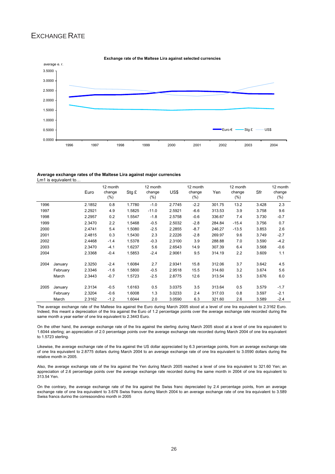## EXCHANGE RATE



#### **Exchange rate of the Maltese Lira against selected currencies**

#### **Average exchange rates of the Maltese Lira against major currencies** Lm1 is equivalent to…

|      |          | Euro   | 12 month<br>change<br>$(\%)$ | Stg £  | 12 month<br>change<br>$(\%)$ | US\$   | 12 month<br>change<br>$(\%)$ | Yen    | 12 month<br>change<br>$(\%)$ | Sfr   | 12 month<br>change<br>$(\%)$ |
|------|----------|--------|------------------------------|--------|------------------------------|--------|------------------------------|--------|------------------------------|-------|------------------------------|
| 1996 |          | 2.1852 | 0.8                          | 1.7780 | $-1.0$                       | 2.7745 | $-2.2$                       | 301.75 | 13.2                         | 3.428 | 2.3                          |
| 1997 |          | 2.2921 | 4.9                          | 1.5825 | $-11.0$                      | 2.5921 | $-6.6$                       | 313.53 | 3.9                          | 3.758 | 9.6                          |
| 1998 |          | 2.2957 | 0.2                          | 1.5547 | $-1.8$                       | 2.5758 | $-0.6$                       | 336.67 | 7.4                          | 3.730 | $-0.7$                       |
| 1999 |          | 2.3470 | 2.2                          | 1.5468 | $-0.5$                       | 2.5032 | $-2.8$                       | 284.84 | $-15.4$                      | 3.756 | 0.7                          |
| 2000 |          | 2.4741 | 5.4                          | 1.5080 | $-2.5$                       | 2.2855 | $-8.7$                       | 246.27 | $-13.5$                      | 3.853 | 2.6                          |
| 2001 |          | 2.4815 | 0.3                          | 1.5430 | 2.3                          | 2.2226 | $-2.8$                       | 269.97 | 9.6                          | 3.749 | $-2.7$                       |
| 2002 |          | 2.4468 | $-1.4$                       | 1.5378 | $-0.3$                       | 2.3100 | 3.9                          | 288.88 | 7.0                          | 3.590 | $-4.2$                       |
| 2003 |          | 2.3470 | $-4.1$                       | 1.6237 | 5.6                          | 2.6543 | 14.9                         | 307.39 | 6.4                          | 3.568 | $-0.6$                       |
| 2004 |          | 2.3368 | $-0.4$                       | 1.5853 | $-2.4$                       | 2.9061 | 9.5                          | 314.19 | 2.2                          | 3.609 | 1.1                          |
| 2004 | January  | 2.3250 | $-2.4$                       | 1.6084 | 2.7                          | 2.9341 | 15.8                         | 312.06 | 3.7                          | 3.642 | 4.5                          |
|      | February | 2.3346 | $-1.6$                       | 1.5800 | $-0.5$                       | 2.9518 | 15.5                         | 314.60 | 3.2                          | 3.674 | 5.6                          |
|      | March    | 2.3443 | $-0.7$                       | 1.5723 | $-2.5$                       | 2.8775 | 12.6                         | 313.54 | 3.5                          | 3.676 | 6.0                          |
| 2005 | January  | 2.3134 | $-0.5$                       | 1.6163 | 0.5                          | 3.0375 | 3.5                          | 313.64 | 0.5                          | 3.579 | $-1.7$                       |
|      | February | 2.3204 | $-0.6$                       | 1.6008 | 1.3                          | 3.0233 | 2.4                          | 317.03 | 0.8                          | 3.597 | $-2.1$                       |
|      | March    | 2.3162 | $-1.2$                       | 1.6044 | 2.0                          | 3.0590 | 6.3                          | 321.60 | 2.6                          | 3.589 | $-2.4$                       |

The average exchange rate of the Maltese lira against the Euro during March 2005 stood at a level of one lira equivalent to 2.3162 Euro. Indeed, this meant a depreciation of the lira against the Euro of 1.2 percentage points over the average exchange rate recorded during the same month a year earlier of one lira equivalent to 2.3443 Euro.

On the other hand, the average exchange rate of the lira against the sterling during March 2005 stood at a level of one lira equivalent to 1.6044 sterling; an appreciation of 2.0 percentage points over the average exchange rate recorded during March 2004 of one lira equivalent to 1.5723 sterling.

Likewise, the average exchange rate of the lira against the US dollar appreciated by 6.3 percentage points, from an average exchange rate of one lira equivalent to 2.8775 dollars during March 2004 to an average exchange rate of one lira equivalent to 3.0590 dollars during the relative month in 2005.

Also, the average exchange rate of the lira against the Yen during March 2005 reached a level of one lira equivalent to 321.60 Yen; an appreciation of 2.6 percentage points over the average exchange rate recorded during the same month in 2004 of one lira equivalent to 313.54 Yen.

On the contrary, the average exchange rate of the lira against the Swiss franc depreciated by 2.4 percentage points, from an average exchange rate of one lira equivalent to 3.676 Swiss francs during March 2004 to an average exchange rate of one lira equivalent to 3.589 Swiss francs during the corresponding month in 2005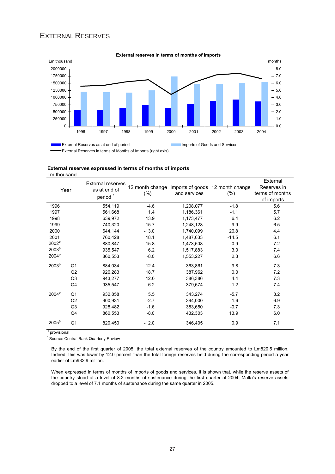## EXTERNAL RESERVES



#### **External reserves in terms of months of imports**

**External reserves expressed in terms of months of imports** Lm thousand

| Year              |                | <b>External reserves</b><br>as at end of<br>period <sup>1</sup> | 12 month change<br>$(\%)$ | and services | Imports of goods 12 month change<br>$(\% )$ | External<br>Reserves in<br>terms of months<br>of imports |
|-------------------|----------------|-----------------------------------------------------------------|---------------------------|--------------|---------------------------------------------|----------------------------------------------------------|
| 1996              |                | 554,119                                                         | $-4.6$                    | 1,208,077    | $-1.8$                                      | 5.6                                                      |
| 1997              |                | 561,668                                                         | 1.4                       | 1,186,361    | $-1.1$                                      | 5.7                                                      |
| 1998              |                | 639,972                                                         | 13.9                      | 1,173,477    | 6.4                                         | 6.2                                                      |
| 1999              |                | 740,320                                                         | 15.7                      | 1,248,128    | 9.9                                         | 6.5                                                      |
| 2000              |                | 644,144                                                         | $-13.0$                   | 1,740,099    | 26.8                                        | 4.4                                                      |
| 2001              |                | 760,428                                                         | 18.1                      | 1,487,633    | $-14.5$                                     | 6.1                                                      |
| 2002 <sup>p</sup> |                | 880,847                                                         | 15.8                      | 1,473,608    | $-0.9$                                      | 7.2                                                      |
| 2003 <sup>p</sup> |                | 935,547                                                         | 6.2                       | 1,517,883    | 3.0                                         | 7.4                                                      |
| 2004 <sup>p</sup> |                | 860,553                                                         | $-8.0$                    | 1,553,227    | 2.3                                         | 6.6                                                      |
| 2003 <sup>p</sup> | Q <sub>1</sub> | 884,034                                                         | 12.4                      | 363,861      | 9.8                                         | 7.3                                                      |
|                   | Q2             | 926,283                                                         | 18.7                      | 387,962      | 0.0                                         | 7.2                                                      |
|                   | Q <sub>3</sub> | 943,277                                                         | 12.0                      | 386,386      | 4.4                                         | 7.3                                                      |
|                   | Q4             | 935,547                                                         | 6.2                       | 379,674      | $-1.2$                                      | 7.4                                                      |
| 2004 <sup>p</sup> | Q <sub>1</sub> | 932,858                                                         | 5.5                       | 343,274      | $-5.7$                                      | 8.2                                                      |
|                   | Q2             | 900,931                                                         | $-2.7$                    | 394,000      | 1.6                                         | 6.9                                                      |
|                   | Q <sub>3</sub> | 928,482                                                         | $-1.6$                    | 383,650      | $-0.7$                                      | 7.3                                                      |
|                   | Q4             | 860,553                                                         | $-8.0$                    | 432,303      | 13.9                                        | 6.0                                                      |
| 2005 <sup>p</sup> | Q1             | 820,450                                                         | $-12.0$                   | 346,405      | 0.9                                         | 7.1                                                      |

p provisional

<sup>1</sup> Source: Central Bank Quarterly Review

By the end of the first quarter of 2005, the total external reserves of the country amounted to Lm820.5 million. Indeed, this was lower by 12.0 percent than the total foreign reserves held during the corresponding period a year earlier of Lm932.9 million.

When expressed in terms of months of imports of goods and services, it is shown that, while the reserve assets of the country stood at a level of 8.2 months of sustenance during the first quarter of 2004, Malta's reserve assets dropped to a level of 7.1 months of sustenance during the same quarter in 2005.